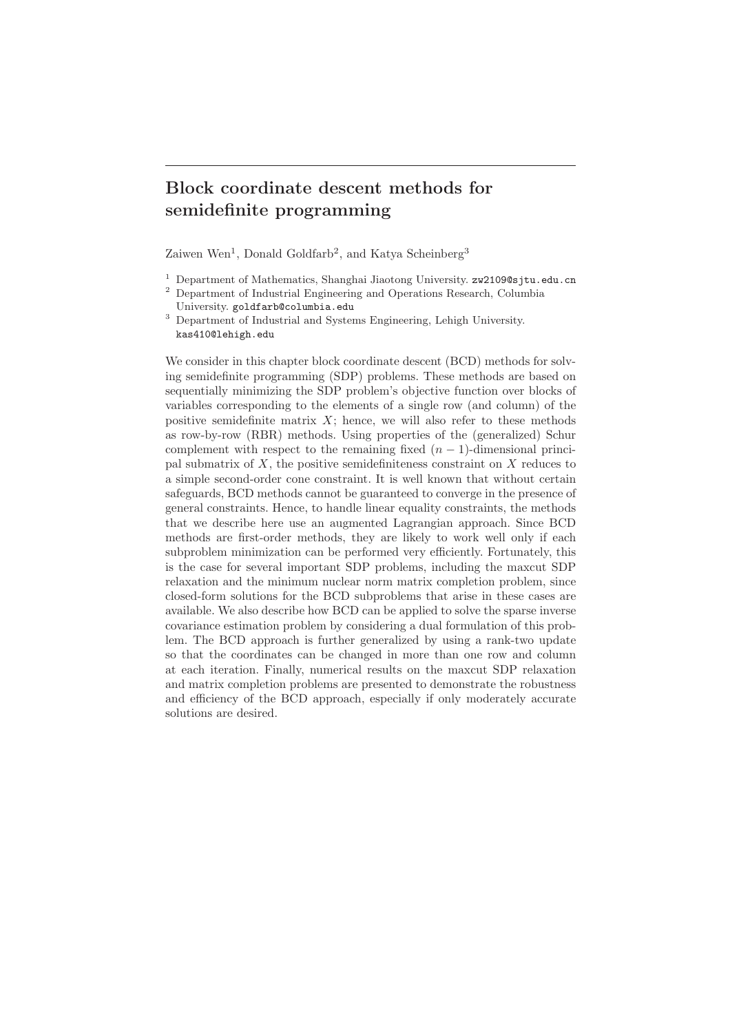# Block coordinate descent methods for semidefinite programming

Zaiwen Wen<sup>1</sup>, Donald Goldfarb<sup>2</sup>, and Katya Scheinberg<sup>3</sup>

- <sup>1</sup> Department of Mathematics, Shanghai Jiaotong University.  $zw2109@s$ jtu.edu.cn
- <sup>2</sup> Department of Industrial Engineering and Operations Research, Columbia University. goldfarb@columbia.edu

<sup>3</sup> Department of Industrial and Systems Engineering, Lehigh University. kas410@lehigh.edu

We consider in this chapter block coordinate descent (BCD) methods for solving semidefinite programming (SDP) problems. These methods are based on sequentially minimizing the SDP problem's objective function over blocks of variables corresponding to the elements of a single row (and column) of the positive semidefinite matrix  $X$ ; hence, we will also refer to these methods as row-by-row (RBR) methods. Using properties of the (generalized) Schur complement with respect to the remaining fixed  $(n-1)$ -dimensional principal submatrix of  $X$ , the positive semidefiniteness constraint on  $X$  reduces to a simple second-order cone constraint. It is well known that without certain safeguards, BCD methods cannot be guaranteed to converge in the presence of general constraints. Hence, to handle linear equality constraints, the methods that we describe here use an augmented Lagrangian approach. Since BCD methods are first-order methods, they are likely to work well only if each subproblem minimization can be performed very efficiently. Fortunately, this is the case for several important SDP problems, including the maxcut SDP relaxation and the minimum nuclear norm matrix completion problem, since closed-form solutions for the BCD subproblems that arise in these cases are available. We also describe how BCD can be applied to solve the sparse inverse covariance estimation problem by considering a dual formulation of this problem. The BCD approach is further generalized by using a rank-two update so that the coordinates can be changed in more than one row and column at each iteration. Finally, numerical results on the maxcut SDP relaxation and matrix completion problems are presented to demonstrate the robustness and efficiency of the BCD approach, especially if only moderately accurate solutions are desired.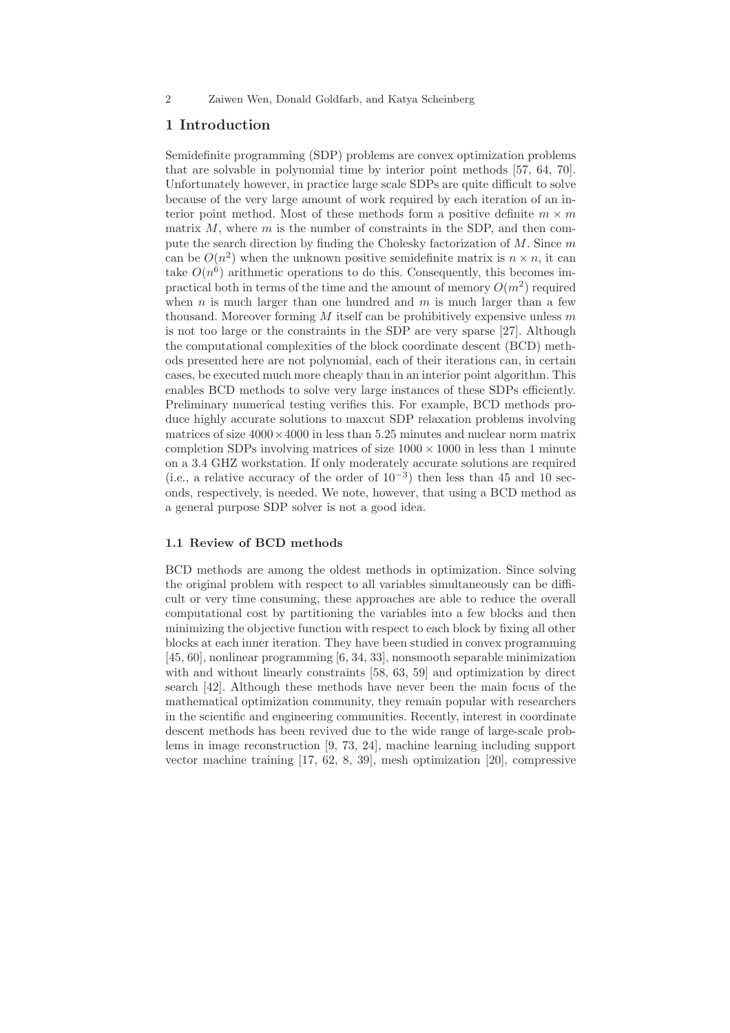# 1 Introduction

Semidefinite programming (SDP) problems are convex optimization problems that are solvable in polynomial time by interior point methods [57, 64, 70]. Unfortunately however, in practice large scale SDPs are quite difficult to solve because of the very large amount of work required by each iteration of an interior point method. Most of these methods form a positive definite  $m \times m$ matrix  $M$ , where  $m$  is the number of constraints in the SDP, and then compute the search direction by finding the Cholesky factorization of  $M$ . Since  $m$ can be  $O(n^2)$  when the unknown positive semidefinite matrix is  $n \times n$ , it can take  $O(n^6)$  arithmetic operations to do this. Consequently, this becomes impractical both in terms of the time and the amount of memory  $O(m^2)$  required when  $n$  is much larger than one hundred and  $m$  is much larger than a few thousand. Moreover forming  $M$  itself can be prohibitively expensive unless  $m$ is not too large or the constraints in the SDP are very sparse [27]. Although the computational complexities of the block coordinate descent (BCD) methods presented here are not polynomial, each of their iterations can, in certain cases, be executed much more cheaply than in an interior point algorithm. This enables BCD methods to solve very large instances of these SDPs efficiently. Preliminary numerical testing verifies this. For example, BCD methods produce highly accurate solutions to maxcut SDP relaxation problems involving matrices of size  $4000 \times 4000$  in less than 5.25 minutes and nuclear norm matrix completion SDPs involving matrices of size  $1000 \times 1000$  in less than 1 minute on a 3.4 GHZ workstation. If only moderately accurate solutions are required (i.e., a relative accuracy of the order of  $10^{-3}$ ) then less than 45 and 10 seconds, respectively, is needed. We note, however, that using a BCD method as a general purpose SDP solver is not a good idea.

### 1.1 Review of BCD methods

BCD methods are among the oldest methods in optimization. Since solving the original problem with respect to all variables simultaneously can be difficult or very time consuming, these approaches are able to reduce the overall computational cost by partitioning the variables into a few blocks and then minimizing the objective function with respect to each block by fixing all other blocks at each inner iteration. They have been studied in convex programming [45, 60], nonlinear programming [6, 34, 33], nonsmooth separable minimization with and without linearly constraints [58, 63, 59] and optimization by direct search [42]. Although these methods have never been the main focus of the mathematical optimization community, they remain popular with researchers in the scientific and engineering communities. Recently, interest in coordinate descent methods has been revived due to the wide range of large-scale problems in image reconstruction [9, 73, 24], machine learning including support vector machine training [17, 62, 8, 39], mesh optimization [20], compressive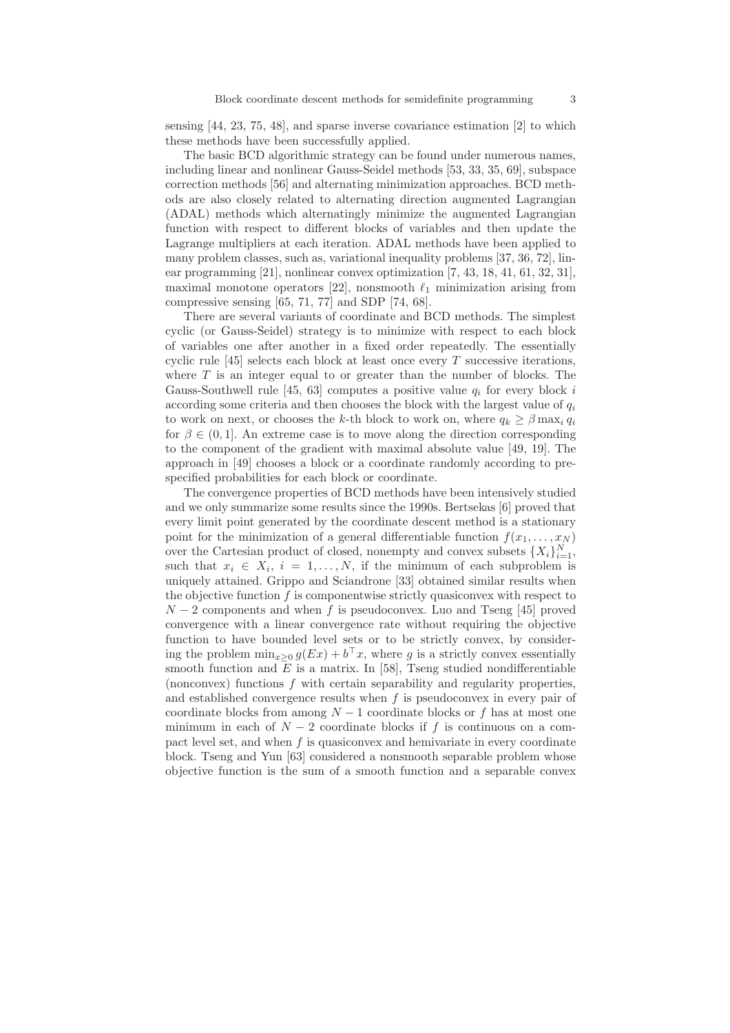sensing [44, 23, 75, 48], and sparse inverse covariance estimation [2] to which these methods have been successfully applied.

The basic BCD algorithmic strategy can be found under numerous names, including linear and nonlinear Gauss-Seidel methods [53, 33, 35, 69], subspace correction methods [56] and alternating minimization approaches. BCD methods are also closely related to alternating direction augmented Lagrangian (ADAL) methods which alternatingly minimize the augmented Lagrangian function with respect to different blocks of variables and then update the Lagrange multipliers at each iteration. ADAL methods have been applied to many problem classes, such as, variational inequality problems [37, 36, 72], linear programming [21], nonlinear convex optimization [7, 43, 18, 41, 61, 32, 31], maximal monotone operators [22], nonsmooth  $\ell_1$  minimization arising from compressive sensing [65, 71, 77] and SDP [74, 68].

There are several variants of coordinate and BCD methods. The simplest cyclic (or Gauss-Seidel) strategy is to minimize with respect to each block of variables one after another in a fixed order repeatedly. The essentially cyclic rule  $[45]$  selects each block at least once every T successive iterations, where  $T$  is an integer equal to or greater than the number of blocks. The Gauss-Southwell rule [45, 63] computes a positive value  $q_i$  for every block i according some criteria and then chooses the block with the largest value of  $q_i$ to work on next, or chooses the k-th block to work on, where  $q_k \geq \beta \max_i q_i$ for  $\beta \in (0,1]$ . An extreme case is to move along the direction corresponding to the component of the gradient with maximal absolute value [49, 19]. The approach in [49] chooses a block or a coordinate randomly according to prespecified probabilities for each block or coordinate.

The convergence properties of BCD methods have been intensively studied and we only summarize some results since the 1990s. Bertsekas [6] proved that every limit point generated by the coordinate descent method is a stationary point for the minimization of a general differentiable function  $f(x_1, \ldots, x_N)$ over the Cartesian product of closed, nonempty and convex subsets  $\{X_i\}_{i=1}^N$ , such that  $x_i \in X_i$ ,  $i = 1, \ldots, N$ , if the minimum of each subproblem is uniquely attained. Grippo and Sciandrone [33] obtained similar results when the objective function  $f$  is componentwise strictly quasiconvex with respect to  $N-2$  components and when f is pseudoconvex. Luo and Tseng [45] proved convergence with a linear convergence rate without requiring the objective function to have bounded level sets or to be strictly convex, by considering the problem  $\min_{x\geq 0} g(EX) + b^{\top}x$ , where g is a strictly convex essentially smooth function and  $E$  is a matrix. In [58], Tseng studied nondifferentiable (nonconvex) functions f with certain separability and regularity properties, and established convergence results when  $f$  is pseudoconvex in every pair of coordinate blocks from among  $N-1$  coordinate blocks or f has at most one minimum in each of  $N-2$  coordinate blocks if f is continuous on a compact level set, and when  $f$  is quasiconvex and hemivariate in every coordinate block. Tseng and Yun [63] considered a nonsmooth separable problem whose objective function is the sum of a smooth function and a separable convex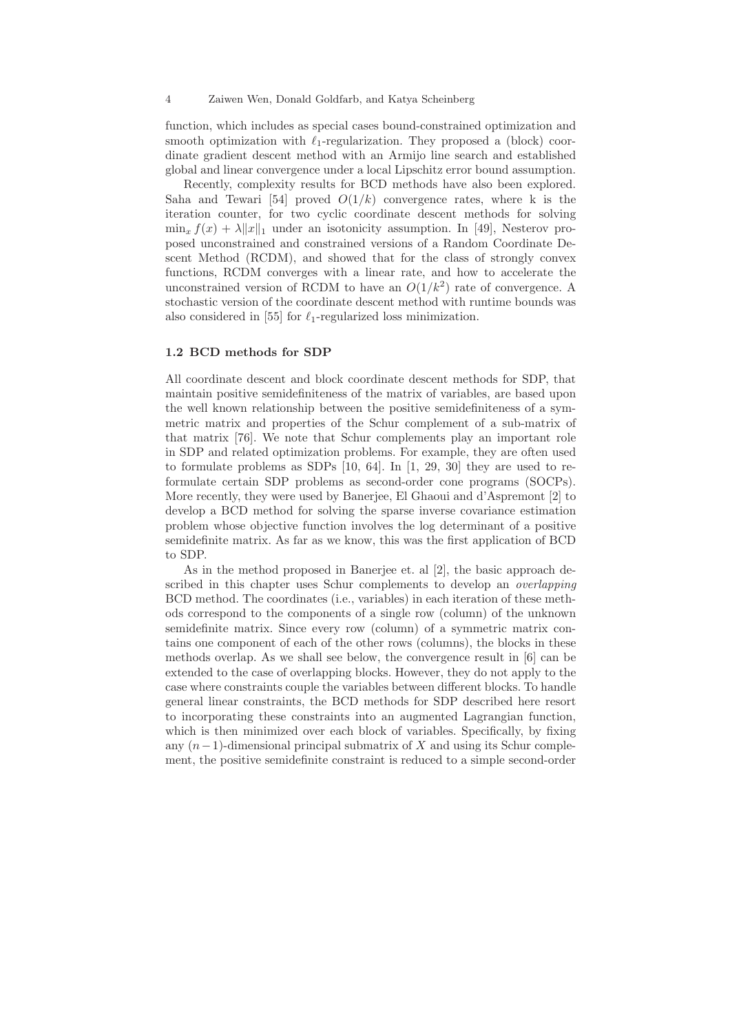function, which includes as special cases bound-constrained optimization and smooth optimization with  $\ell_1$ -regularization. They proposed a (block) coordinate gradient descent method with an Armijo line search and established global and linear convergence under a local Lipschitz error bound assumption.

Recently, complexity results for BCD methods have also been explored. Saha and Tewari [54] proved  $O(1/k)$  convergence rates, where k is the iteration counter, for two cyclic coordinate descent methods for solving  $\min_x f(x) + \lambda \|x\|_1$  under an isotonicity assumption. In [49], Nesterov proposed unconstrained and constrained versions of a Random Coordinate Descent Method (RCDM), and showed that for the class of strongly convex functions, RCDM converges with a linear rate, and how to accelerate the unconstrained version of RCDM to have an  $O(1/k^2)$  rate of convergence. A stochastic version of the coordinate descent method with runtime bounds was also considered in [55] for  $\ell_1$ -regularized loss minimization.

### 1.2 BCD methods for SDP

All coordinate descent and block coordinate descent methods for SDP, that maintain positive semidefiniteness of the matrix of variables, are based upon the well known relationship between the positive semidefiniteness of a symmetric matrix and properties of the Schur complement of a sub-matrix of that matrix [76]. We note that Schur complements play an important role in SDP and related optimization problems. For example, they are often used to formulate problems as SDPs [10, 64]. In [1, 29, 30] they are used to reformulate certain SDP problems as second-order cone programs (SOCPs). More recently, they were used by Banerjee, El Ghaoui and d'Aspremont [2] to develop a BCD method for solving the sparse inverse covariance estimation problem whose objective function involves the log determinant of a positive semidefinite matrix. As far as we know, this was the first application of BCD to SDP.

As in the method proposed in Banerjee et. al [2], the basic approach described in this chapter uses Schur complements to develop an *overlapping* BCD method. The coordinates (i.e., variables) in each iteration of these methods correspond to the components of a single row (column) of the unknown semidefinite matrix. Since every row (column) of a symmetric matrix contains one component of each of the other rows (columns), the blocks in these methods overlap. As we shall see below, the convergence result in [6] can be extended to the case of overlapping blocks. However, they do not apply to the case where constraints couple the variables between different blocks. To handle general linear constraints, the BCD methods for SDP described here resort to incorporating these constraints into an augmented Lagrangian function, which is then minimized over each block of variables. Specifically, by fixing any  $(n-1)$ -dimensional principal submatrix of X and using its Schur complement, the positive semidefinite constraint is reduced to a simple second-order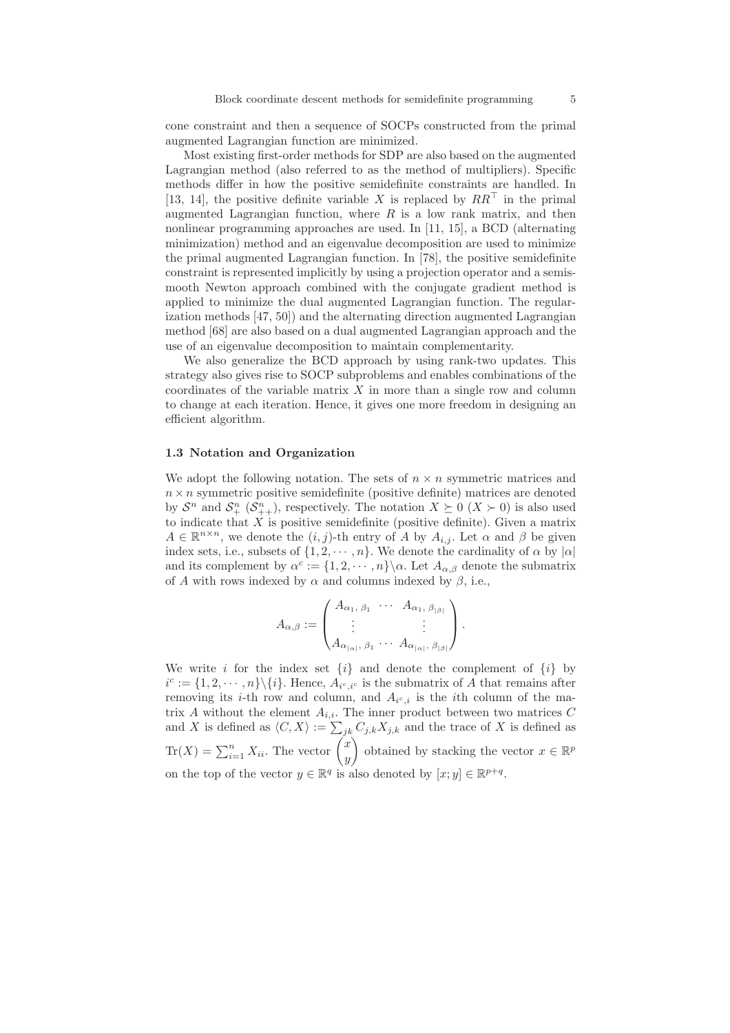cone constraint and then a sequence of SOCPs constructed from the primal augmented Lagrangian function are minimized.

Most existing first-order methods for SDP are also based on the augmented Lagrangian method (also referred to as the method of multipliers). Specific methods differ in how the positive semidefinite constraints are handled. In [13, 14], the positive definite variable X is replaced by  $RR^{\top}$  in the primal augmented Lagrangian function, where  $R$  is a low rank matrix, and then nonlinear programming approaches are used. In [11, 15], a BCD (alternating minimization) method and an eigenvalue decomposition are used to minimize the primal augmented Lagrangian function. In [78], the positive semidefinite constraint is represented implicitly by using a projection operator and a semismooth Newton approach combined with the conjugate gradient method is applied to minimize the dual augmented Lagrangian function. The regularization methods [47, 50]) and the alternating direction augmented Lagrangian method [68] are also based on a dual augmented Lagrangian approach and the use of an eigenvalue decomposition to maintain complementarity.

We also generalize the BCD approach by using rank-two updates. This strategy also gives rise to SOCP subproblems and enables combinations of the coordinates of the variable matrix  $X$  in more than a single row and column to change at each iteration. Hence, it gives one more freedom in designing an efficient algorithm.

### 1.3 Notation and Organization

We adopt the following notation. The sets of  $n \times n$  symmetric matrices and  $n \times n$  symmetric positive semidefinite (positive definite) matrices are denoted by  $S^n$  and  $S^n_+$   $(S^n_{++})$ , respectively. The notation  $X \succeq 0$   $(X \succ 0)$  is also used to indicate that  $X$  is positive semidefinite (positive definite). Given a matrix  $A \in \mathbb{R}^{n \times n}$ , we denote the  $(i, j)$ -th entry of A by  $A_{i,j}$ . Let  $\alpha$  and  $\beta$  be given index sets, i.e., subsets of  $\{1, 2, \dots, n\}$ . We denote the cardinality of  $\alpha$  by  $|\alpha|$ and its complement by  $\alpha^c := \{1, 2, \dots, n\} \setminus \alpha$ . Let  $A_{\alpha, \beta}$  denote the submatrix of A with rows indexed by  $\alpha$  and columns indexed by  $\beta$ , i.e.,

$$
A_{\alpha,\beta} := \begin{pmatrix} A_{\alpha_1,\ \beta_1} & \cdots & A_{\alpha_1,\ \beta_{|\beta|}} \\ \vdots & & \vdots \\ A_{\alpha_{|\alpha|},\ \beta_1} & \cdots & A_{\alpha_{|\alpha|},\ \beta_{|\beta|}} \end{pmatrix}.
$$

We write i for the index set  $\{i\}$  and denote the complement of  $\{i\}$  by  $i^c := \{1, 2, \dots, n\} \setminus \{i\}.$  Hence,  $A_{i^c, i^c}$  is the submatrix of A that remains after removing its *i*-th row and column, and  $A_{i^c,i}$  is the *i*th column of the matrix A without the element  $A_{i,i}$ . The inner product between two matrices C and X is defined as  $\langle C, X \rangle := \sum_{jk} C_{j,k} X_{j,k}$  and the trace of X is defined as  $\text{Tr}(X) = \sum_{i=1}^{n} X_{ii}$ . The vector  $\begin{pmatrix} x \\ y \end{pmatrix}$  $\hat{y}$ ) obtained by stacking the vector  $x \in \mathbb{R}^p$ on the top of the vector  $y \in \mathbb{R}^q$  is also denoted by  $[x; y] \in \mathbb{R}^{p+q}$ .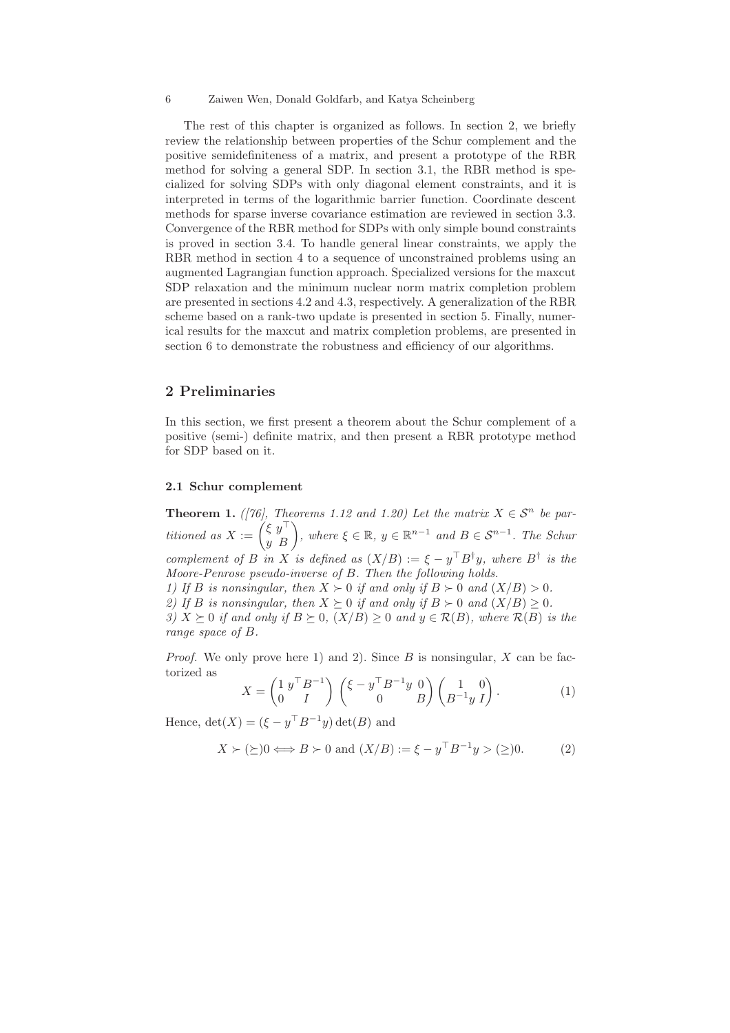The rest of this chapter is organized as follows. In section 2, we briefly review the relationship between properties of the Schur complement and the positive semidefiniteness of a matrix, and present a prototype of the RBR method for solving a general SDP. In section 3.1, the RBR method is specialized for solving SDPs with only diagonal element constraints, and it is interpreted in terms of the logarithmic barrier function. Coordinate descent methods for sparse inverse covariance estimation are reviewed in section 3.3. Convergence of the RBR method for SDPs with only simple bound constraints is proved in section 3.4. To handle general linear constraints, we apply the RBR method in section 4 to a sequence of unconstrained problems using an augmented Lagrangian function approach. Specialized versions for the maxcut SDP relaxation and the minimum nuclear norm matrix completion problem are presented in sections 4.2 and 4.3, respectively. A generalization of the RBR scheme based on a rank-two update is presented in section 5. Finally, numerical results for the maxcut and matrix completion problems, are presented in section 6 to demonstrate the robustness and efficiency of our algorithms.

# 2 Preliminaries

In this section, we first present a theorem about the Schur complement of a positive (semi-) definite matrix, and then present a RBR prototype method for SDP based on it.

### 2.1 Schur complement

**Theorem 1.** *([76], Theorems 1.12 and 1.20) Let the matrix*  $X \in S^n$  *be partitioned as*  $X := \begin{pmatrix} \xi & y^{\top} \\ y & B \end{pmatrix}$ , where  $\xi \in \mathbb{R}$ ,  $y \in \mathbb{R}^{n-1}$  *and*  $B \in S^{n-1}$ *. The Schur complement of* B *in* X *is defined as*  $(X/B) := \xi - y^{\dagger} B^{\dagger} y$ *, where*  $B^{\dagger}$  *is the Moore-Penrose pseudo-inverse of* B*. Then the following holds. 1)* If B is nonsingular, then  $X \succ 0$  if and only if  $B \succ 0$  and  $(X/B) > 0$ .

*2)* If B is nonsingular, then  $X \succeq 0$  if and only if  $B \succ 0$  and  $(X/B) \geq 0$ .

*3)*  $X \succeq 0$  *if and only if*  $B \succeq 0$ *,*  $(X/B) \geq 0$  *and*  $y \in \mathcal{R}(B)$ *, where*  $\mathcal{R}(B)$  *is the range space of* B*.*

*Proof.* We only prove here 1) and 2). Since B is nonsingular, X can be factorized as

$$
X = \begin{pmatrix} 1 \ y^\top B^{-1} \\ 0 \end{pmatrix} \begin{pmatrix} \xi - y^\top B^{-1} y & 0 \\ 0 & B \end{pmatrix} \begin{pmatrix} 1 & 0 \\ B^{-1} y & I \end{pmatrix}.
$$
 (1)

Hence,  $\det(X) = (\xi - y^\top B^{-1}y) \det(B)$  and

$$
X \succ (\succeq) 0 \Longleftrightarrow B \succ 0 \text{ and } (X/B) := \xi - y^{\top} B^{-1} y > (\succeq) 0. \tag{2}
$$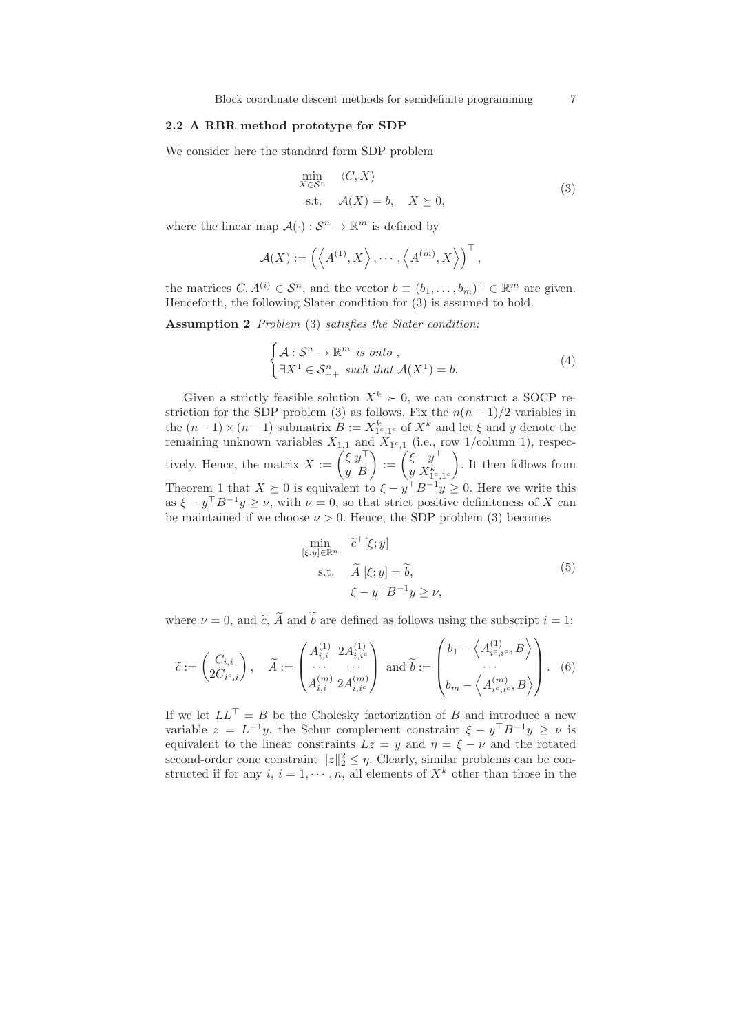### 2.2 A RBR method prototype for SDP

We consider here the standard form SDP problem

$$
\min_{X \in \mathcal{S}^n} \langle C, X \rangle
$$
  
s.t.  $\mathcal{A}(X) = b, \quad X \succeq 0,$  (3)

where the linear map  $\mathcal{A}(\cdot): \mathcal{S}^n \to \mathbb{R}^m$  is defined by

$$
\mathcal{A}(X) := \left( \left\langle A^{(1)}, X \right\rangle, \cdots, \left\langle A^{(m)}, X \right\rangle \right)^{\top},
$$

the matrices  $C, A^{(i)} \in \mathcal{S}^n$ , and the vector  $b \equiv (b_1, \ldots, b_m)^\top \in \mathbb{R}^m$  are given. Henceforth, the following Slater condition for (3) is assumed to hold.

Assumption 2 *Problem* (3) *satisfies the Slater condition:*

$$
\begin{cases} \mathcal{A} : \mathcal{S}^n \to \mathbb{R}^m \text{ is onto,} \\ \exists X^1 \in \mathcal{S}_{++}^n \text{ such that } \mathcal{A}(X^1) = b. \end{cases} \tag{4}
$$

Given a strictly feasible solution  $X^k \succ 0$ , we can construct a SOCP restriction for the SDP problem (3) as follows. Fix the  $n(n-1)/2$  variables in the  $(n-1) \times (n-1)$  submatrix  $B := X_{1c,1c}^k$  of  $X^k$  and let  $\xi$  and y denote the remaining unknown variables  $X_{1,1}$  and  $X_{1^c,1}$  (i.e., row 1/column 1), respectively. Hence, the matrix  $X := \begin{pmatrix} \xi & y^{\top} \\ y & B \end{pmatrix} := \begin{pmatrix} \xi & y^{\top} \\ y & X_{1c}^{k} \end{pmatrix}$  $y X^k_{1^c, 1^c}$  $\setminus$ . It then follows from Theorem 1 that  $X \succeq 0$  is equivalent to  $\xi - y^{\top} B^{-1} y \geq 0$ . Here we write this as  $\xi - y^{\top} B^{-1} y \geq \nu$ , with  $\nu = 0$ , so that strict positive definiteness of X can be maintained if we choose  $\nu > 0$ . Hence, the SDP problem (3) becomes

$$
\min_{\begin{aligned} [\xi; y] \in \mathbb{R}^n & \quad \tilde{c}^\top[\xi; y] \\ \text{s.t.} & \quad \tilde{A}[\xi; y] = \tilde{b}, \\ & \xi - y^\top B^{-1} y \ge \nu, \end{aligned} \tag{5}
$$

where  $\nu = 0$ , and  $\tilde{c}$ ,  $\tilde{A}$  and  $\tilde{b}$  are defined as follows using the subscript  $i = 1$ :

$$
\widetilde{c} := \begin{pmatrix} C_{i,i} \\ 2C_{i^c,i} \end{pmatrix}, \quad \widetilde{A} := \begin{pmatrix} A_{i,i}^{(1)} & 2A_{i,i^c}^{(1)} \\ \cdots & \cdots \\ A_{i,i}^{(m)} & 2A_{i,i^c}^{(m)} \end{pmatrix} \text{ and } \widetilde{b} := \begin{pmatrix} b_1 - \left\langle A_{i^c,i^c}^{(1)}, B \right\rangle \\ \cdots \\ b_m - \left\langle A_{i^c,i^c}^{(m)}, B \right\rangle \end{pmatrix}.
$$
 (6)

If we let  $LL^{\top} = B$  be the Cholesky factorization of B and introduce a new variable  $z = L^{-1}y$ , the Schur complement constraint  $\xi - y^{\top}B^{-1}y \geq \nu$  is equivalent to the linear constraints  $Lz = y$  and  $\eta = \xi - \nu$  and the rotated second-order cone constraint  $||z||_2^2 \leq \eta$ . Clearly, similar problems can be constructed if for any i,  $i = 1, \dots, n$ , all elements of  $X<sup>k</sup>$  other than those in the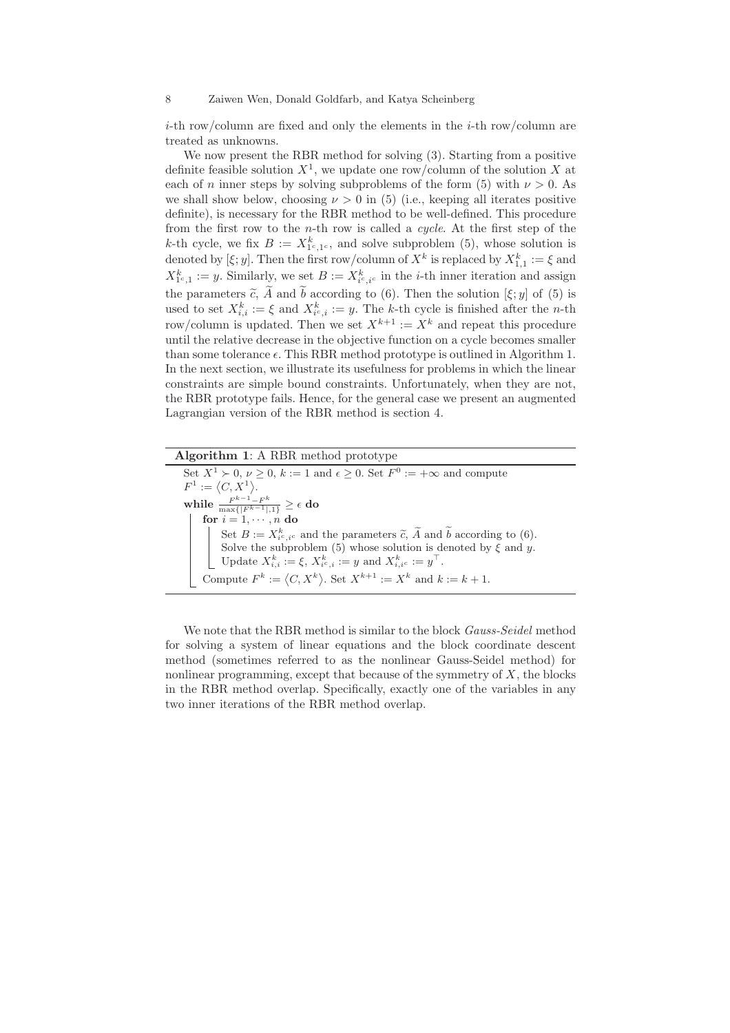$i$ -th row/column are fixed and only the elements in the  $i$ -th row/column are treated as unknowns.

We now present the RBR method for solving (3). Starting from a positive definite feasible solution  $X^1$ , we update one row/column of the solution X at each of n inner steps by solving subproblems of the form (5) with  $\nu > 0$ . As we shall show below, choosing  $\nu > 0$  in (5) (i.e., keeping all iterates positive definite), is necessary for the RBR method to be well-defined. This procedure from the first row to the n-th row is called a *cycle*. At the first step of the k-th cycle, we fix  $B := X_{1^c,1^c}^k$ , and solve subproblem (5), whose solution is denoted by  $[\xi; y]$ . Then the first row/column of  $X^k$  is replaced by  $X^k_{1,1} := \xi$  and  $X_{1^c,1}^k := y$ . Similarly, we set  $B := X_{i^c, i^c}^k$  in the *i*-th inner iteration and assign the parameters  $\tilde{c}$ , A and b according to (6). Then the solution  $[\xi; y]$  of (5) is used to set  $X_{i,i}^k := \xi$  and  $X_{i^c,i}^k := y$ . The k-th cycle is finished after the n-th row/column is updated. Then we set  $X^{k+1} := X^k$  and repeat this procedure until the relative decrease in the objective function on a cycle becomes smaller than some tolerance  $\epsilon$ . This RBR method prototype is outlined in Algorithm 1. In the next section, we illustrate its usefulness for problems in which the linear constraints are simple bound constraints. Unfortunately, when they are not, the RBR prototype fails. Hence, for the general case we present an augmented Lagrangian version of the RBR method is section 4.

| <b>Algorithm 1:</b> A RBR method prototype                                                               |
|----------------------------------------------------------------------------------------------------------|
| Set $X^1 \succ 0$ , $\nu \geq 0$ , $k := 1$ and $\epsilon \geq 0$ . Set $F^0 := +\infty$ and compute     |
| $F^1 := \langle C, X^1 \rangle.$                                                                         |
| while $\frac{F^{k-1}-F^k}{\max\{ F^{k-1} ,1\}} \geq \epsilon$ do                                         |
| for $i = 1, \dots, n$ do                                                                                 |
| Set $B := X_{i^c, i^c}^k$ and the parameters $\tilde{c}$ , $\tilde{A}$ and $\tilde{b}$ according to (6). |
| Solve the subproblem (5) whose solution is denoted by $\xi$ and y.                                       |
| Update $X_{i,i}^k := \xi, X_{i^c,i}^k := y$ and $X_{i,i^c}^k := y^\top$ .                                |
| Compute $F^k := \langle C, X^k \rangle$ . Set $X^{k+1} := X^k$ and $k := k + 1$ .                        |

We note that the RBR method is similar to the block *Gauss-Seidel* method for solving a system of linear equations and the block coordinate descent method (sometimes referred to as the nonlinear Gauss-Seidel method) for nonlinear programming, except that because of the symmetry of  $X$ , the blocks in the RBR method overlap. Specifically, exactly one of the variables in any two inner iterations of the RBR method overlap.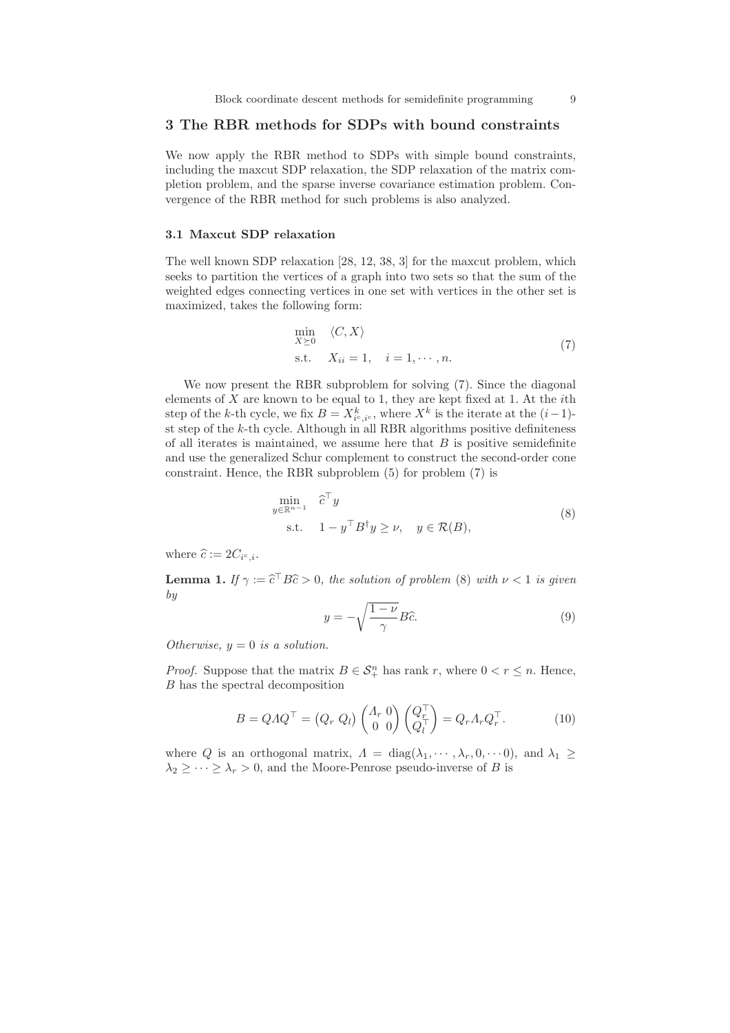# 3 The RBR methods for SDPs with bound constraints

We now apply the RBR method to SDPs with simple bound constraints, including the maxcut SDP relaxation, the SDP relaxation of the matrix completion problem, and the sparse inverse covariance estimation problem. Convergence of the RBR method for such problems is also analyzed.

# 3.1 Maxcut SDP relaxation

The well known SDP relaxation [28, 12, 38, 3] for the maxcut problem, which seeks to partition the vertices of a graph into two sets so that the sum of the weighted edges connecting vertices in one set with vertices in the other set is maximized, takes the following form:

$$
\min_{X \succeq 0} \langle C, X \rangle
$$
  
s.t.  $X_{ii} = 1, \quad i = 1, \dots, n.$  (7)

We now present the RBR subproblem for solving (7). Since the diagonal elements of  $X$  are known to be equal to 1, they are kept fixed at 1. At the *i*th step of the k-th cycle, we fix  $B = X_{i^c, i^c}^k$ , where  $X^k$  is the iterate at the  $(i-1)$ st step of the  $k$ -th cycle. Although in all RBR algorithms positive definiteness of all iterates is maintained, we assume here that  $B$  is positive semidefinite and use the generalized Schur complement to construct the second-order cone constraint. Hence, the RBR subproblem (5) for problem (7) is

$$
\min_{y \in \mathbb{R}^{n-1}} \hat{c}^\top y
$$
\n
$$
\text{s.t.} \quad 1 - y^\top B^\dagger y \ge \nu, \quad y \in \mathcal{R}(B),
$$
\n
$$
(8)
$$

where  $\hat{c} := 2C_{i^c,i}$ .

**Lemma 1.** *If*  $\gamma := \hat{c}^\top B \hat{c} > 0$ , the solution of problem (8) with  $\nu < 1$  is given *by*

$$
y = -\sqrt{\frac{1-\nu}{\gamma}}B\hat{c}.\tag{9}
$$

*Otherwise,*  $y = 0$  *is a solution.* 

*Proof.* Suppose that the matrix  $B \in \mathcal{S}_{+}^{n}$  has rank r, where  $0 < r \leq n$ . Hence, B has the spectral decomposition

$$
B = QAQ^{\top} = (Q_r Q_l) \begin{pmatrix} A_r & 0 \\ 0 & 0 \end{pmatrix} \begin{pmatrix} Q_r^{\top} \\ Q_l^{\top} \end{pmatrix} = Q_r A_r Q_r^{\top}.
$$
 (10)

where Q is an orthogonal matrix,  $\Lambda = \text{diag}(\lambda_1, \dots, \lambda_r, 0, \dots 0)$ , and  $\lambda_1 \geq$  $\lambda_2 \geq \cdots \geq \lambda_r > 0$ , and the Moore-Penrose pseudo-inverse of B is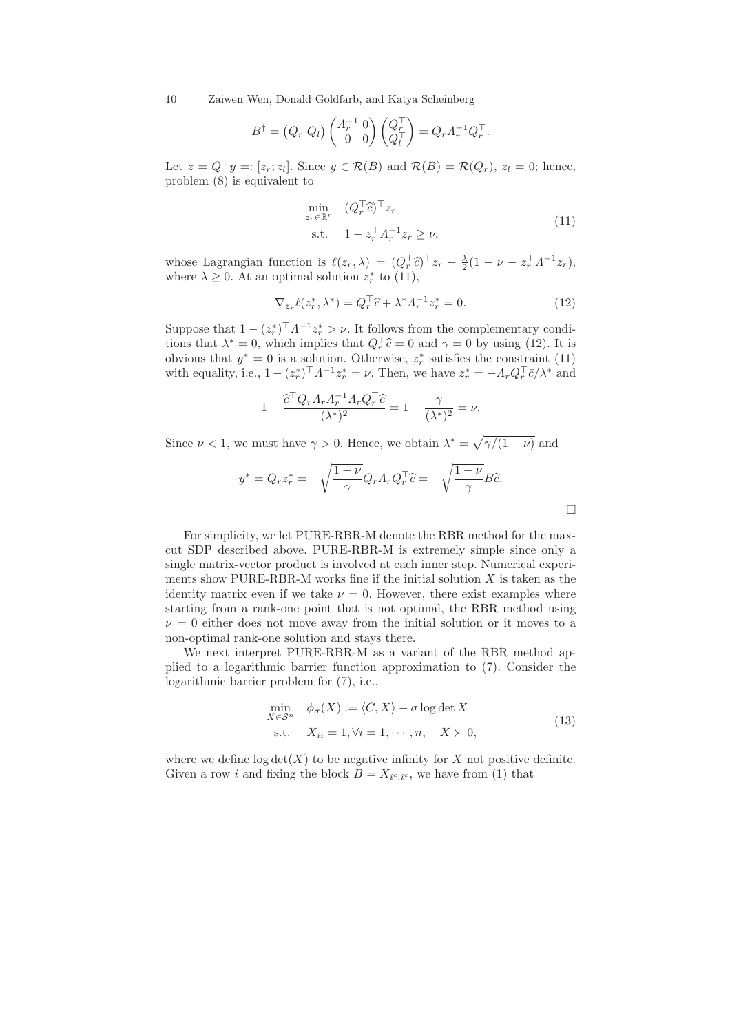$$
B^{\dagger} = (Q_r Q_l) \begin{pmatrix} \Lambda_r^{-1} & 0 \\ 0 & 0 \end{pmatrix} \begin{pmatrix} Q_r^{\top} \\ Q_l^{\top} \end{pmatrix} = Q_r \Lambda_r^{-1} Q_r^{\top}.
$$

Let  $z = Q^{\dagger} y =: [z_r; z_l]$ . Since  $y \in \mathcal{R}(B)$  and  $\mathcal{R}(B) = \mathcal{R}(Q_r)$ ,  $z_l = 0$ ; hence, problem (8) is equivalent to

$$
\min_{z_r \in \mathbb{R}^r} \quad (Q_r^\top \hat{c})^\top z_r
$$
\n
$$
\text{s.t.} \quad 1 - z_r^\top A_r^{-1} z_r \ge \nu,
$$
\n
$$
(11)
$$

whose Lagrangian function is  $\ell(z_r, \lambda) = (Q_r^\top \hat{c})^\top z_r - \frac{\lambda}{2}(1 - \nu - z_r^\top A^{-1} z_r),$ where  $\lambda \geq 0$ . At an optimal solution  $z_r^*$  to (11),

$$
\nabla_{z_r} \ell(z_r^*, \lambda^*) = Q_r^\top \hat{c} + \lambda^* \Lambda_r^{-1} z_r^* = 0.
$$
 (12)

Suppose that  $1 - (z_r^*)^\top A^{-1} z_r^* > \nu$ . It follows from the complementary conditions that  $\lambda^* = 0$ , which implies that  $Q_r^{\dagger} \hat{c} = 0$  and  $\gamma = 0$  by using (12). It is obvious that  $y^* = 0$  is a solution. Otherwise,  $z_r^*$  satisfies the constraint (11) with equality, i.e.,  $1 - (z_r^*)^\top A^{-1} z_r^* = \nu$ . Then, we have  $z_r^* = -A_r Q_r^\top \bar{c}/\lambda^*$  and

$$
1 - \frac{\widehat{c}^\top Q_r A_r A_r^{-1} A_r Q_r^\top \widehat{c}}{(\lambda^*)^2} = 1 - \frac{\gamma}{(\lambda^*)^2} = \nu.
$$

Since  $\nu < 1$ , we must have  $\gamma > 0$ . Hence, we obtain  $\lambda^* = \sqrt{\gamma/(1-\nu)}$  and

$$
y^* = Q_r z_r^* = -\sqrt{\frac{1-\nu}{\gamma}} Q_r \Lambda_r Q_r^\top \hat{c} = -\sqrt{\frac{1-\nu}{\gamma}} B \hat{c}.
$$

For simplicity, we let PURE-RBR-M denote the RBR method for the maxcut SDP described above. PURE-RBR-M is extremely simple since only a single matrix-vector product is involved at each inner step. Numerical experiments show PURE-RBR-M works fine if the initial solution  $X$  is taken as the identity matrix even if we take  $\nu = 0$ . However, there exist examples where starting from a rank-one point that is not optimal, the RBR method using  $\nu = 0$  either does not move away from the initial solution or it moves to a non-optimal rank-one solution and stays there.

We next interpret PURE-RBR-M as a variant of the RBR method applied to a logarithmic barrier function approximation to (7). Consider the logarithmic barrier problem for (7), i.e.,

$$
\min_{X \in \mathcal{S}^n} \quad \phi_{\sigma}(X) := \langle C, X \rangle - \sigma \log \det X
$$
\n
$$
\text{s.t.} \quad X_{ii} = 1, \forall i = 1, \cdots, n, \quad X \succ 0,
$$
\n
$$
(13)
$$

where we define  $log det(X)$  to be negative infinity for X not positive definite. Given a row *i* and fixing the block  $B = X_{i^c, i^c}$ , we have from (1) that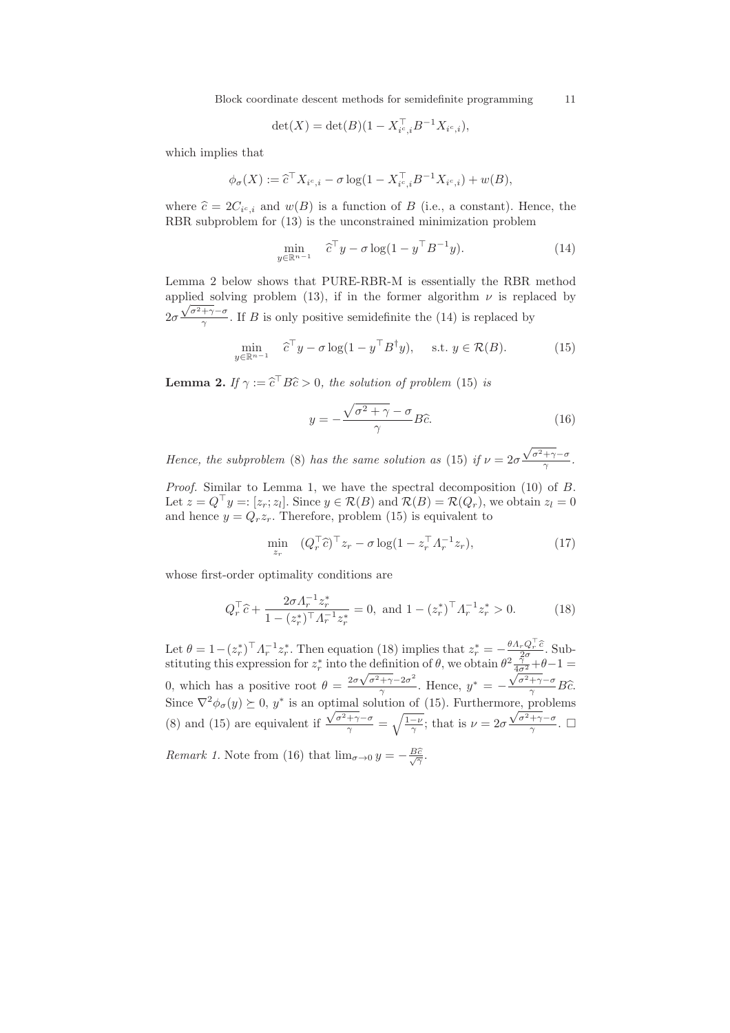Block coordinate descent methods for semidefinite programming 11

$$
\det(X) = \det(B)(1 - X_{i^c,i}^\top B^{-1} X_{i^c,i}),
$$

which implies that

$$
\phi_{\sigma}(X) := \widehat{c}^{\top} X_{i^c, i} - \sigma \log(1 - X_{i^c, i}^{\top} B^{-1} X_{i^c, i}) + w(B),
$$

where  $\hat{c} = 2C_{i^c,i}$  and  $w(B)$  is a function of B (i.e., a constant). Hence, the RBR subproblem for (13) is the unconstrained minimization problem

$$
\min_{y \in \mathbb{R}^{n-1}} \quad \hat{c}^\top y - \sigma \log(1 - y^\top B^{-1} y). \tag{14}
$$

Lemma 2 below shows that PURE-RBR-M is essentially the RBR method applied solving problem (13), if in the former algorithm  $\nu$  is replaced by  $2\sigma$  $\frac{\sqrt{\sigma^2 + \gamma} - \sigma}{\gamma}$ . If B is only positive semidefinite the (14) is replaced by

$$
\min_{y \in \mathbb{R}^{n-1}} \hat{c}^\top y - \sigma \log(1 - y^\top B^\dagger y), \quad \text{s.t. } y \in \mathcal{R}(B). \tag{15}
$$

**Lemma 2.** If  $\gamma := \hat{c}^{\dagger} B\hat{c} > 0$ , the solution of problem (15) is

$$
y = -\frac{\sqrt{\sigma^2 + \gamma} - \sigma}{\gamma} B\hat{c}.
$$
 (16)

*Hence, the subproblem* (8) *has the same solution as* (15) *if*  $\nu = 2\sigma$  $\frac{\sqrt{\sigma^2 + \gamma} - \sigma}{\gamma}$ .

*Proof.* Similar to Lemma 1, we have the spectral decomposition (10) of B. Let  $z = Q^\top y = [z_r; z_l]$ . Since  $y \in \mathcal{R}(B)$  and  $\mathcal{R}(B) = \mathcal{R}(Q_r)$ , we obtain  $z_l = 0$ and hence  $y = Q_r z_r$ . Therefore, problem (15) is equivalent to

$$
\min_{z_r} \quad (Q_r^\top \hat{c})^\top z_r - \sigma \log(1 - z_r^\top A_r^{-1} z_r),\tag{17}
$$

whose first-order optimality conditions are

$$
Q_r^\top \hat{c} + \frac{2\sigma A_r^{-1} z_r^*}{1 - (z_r^*)^\top A_r^{-1} z_r^*} = 0, \text{ and } 1 - (z_r^*)^\top A_r^{-1} z_r^* > 0. \tag{18}
$$

Let  $\theta = 1 - (z_r^*)^\top A_r^{-1} z_r^*$ . Then equation (18) implies that  $z_r^* = -\frac{\theta A_r Q_r^\top \hat{c}}{2\sigma}$ . Substituting this expression for  $z_r^*$  into the definition of  $\theta$ , we obtain  $\theta^2 \frac{\tilde{\gamma}^0}{4\sigma^2} + \theta - 1 =$ 0, which has a positive root  $\theta = \frac{2\sigma\sqrt{\sigma^2 + \gamma} - 2\sigma^2}{\gamma}$  $\frac{\tau}{\gamma}$ . Hence,  $y^* = \frac{\sqrt{\sigma^2 + \gamma} - \sigma}{\gamma} B \widehat{c}.$ Since  $\nabla^2 \phi_{\sigma}(y) \succeq 0$ ,  $y^*$  is an optimal solution of (15). Furthermore, problems (8) and (15) are equivalent if  $\frac{\sqrt{\sigma^2 + \gamma} - \sigma}{\gamma} = \sqrt{\frac{1-\nu}{\gamma}}$ ; that is  $\nu = 2\sigma$  $\frac{\sqrt{\sigma^2 + \gamma} - \sigma}{\gamma}$ . *Remark 1.* Note from (16) that  $\lim_{\sigma \to 0} y = -\frac{B\hat{c}}{\sqrt{\gamma}}$ .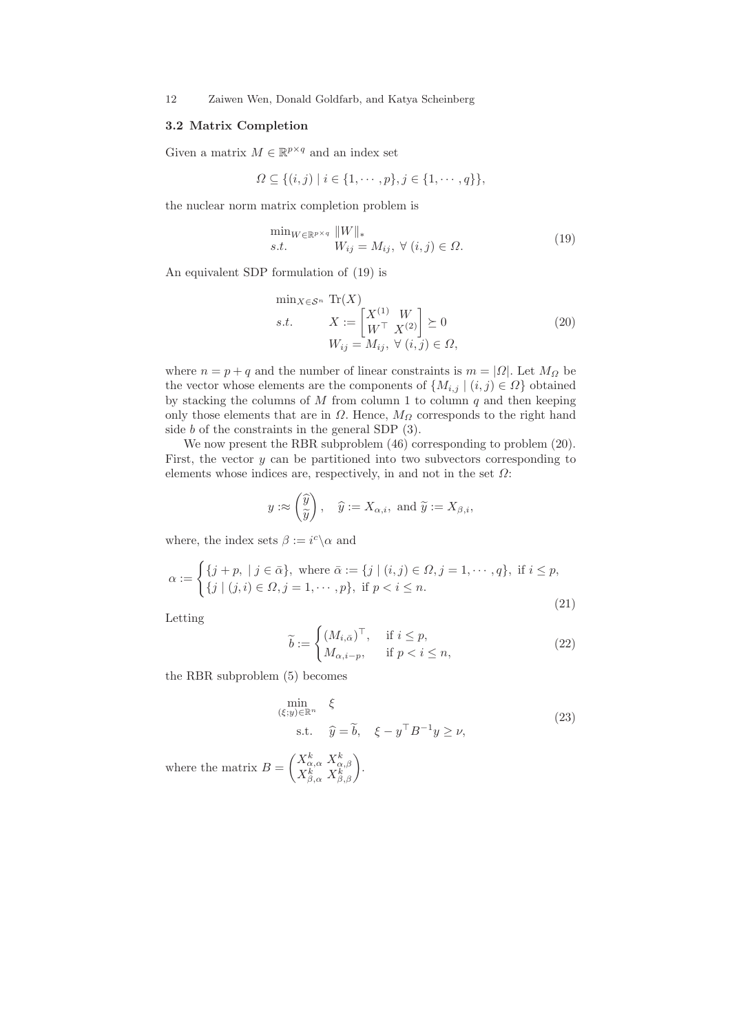### 3.2 Matrix Completion

Given a matrix  $M \in \mathbb{R}^{p \times q}$  and an index set

$$
\Omega \subseteq \{(i,j) \mid i \in \{1,\cdots,p\}, j \in \{1,\cdots,q\}\},\
$$

the nuclear norm matrix completion problem is

$$
\min_{W \in \mathbb{R}^{p \times q}} \|W\|_{*}
$$
  
s.t. 
$$
W_{ij} = M_{ij}, \ \forall \ (i, j) \in \Omega.
$$
 (19)

An equivalent SDP formulation of (19) is

$$
\min_{X \in \mathcal{S}^n} \text{Tr}(X)
$$
\n
$$
s.t. \quad X := \begin{bmatrix} X^{(1)} & W \\ W^\top & X^{(2)} \end{bmatrix} \succeq 0 \tag{20}
$$
\n
$$
W_{ij} = M_{ij}, \ \forall \ (i, j) \in \Omega,
$$

where  $n = p + q$  and the number of linear constraints is  $m = |\Omega|$ . Let  $M_{\Omega}$  be the vector whose elements are the components of  $\{M_{i,j} | (i,j) \in \Omega\}$  obtained by stacking the columns of  $M$  from column 1 to column  $q$  and then keeping only those elements that are in  $\Omega$ . Hence,  $M_{\Omega}$  corresponds to the right hand side b of the constraints in the general SDP (3).

We now present the RBR subproblem  $(46)$  corresponding to problem  $(20)$ . First, the vector  $y$  can be partitioned into two subvectors corresponding to elements whose indices are, respectively, in and not in the set  $\Omega$ :

$$
y: \approx \begin{pmatrix} \widehat{y} \\ \widetilde{y} \end{pmatrix}, \quad \widehat{y} := X_{\alpha,i}, \text{ and } \widetilde{y} := X_{\beta,i},
$$

where, the index sets  $\beta := i^c \backslash \alpha$  and

$$
\alpha := \begin{cases} \{j + p, \mid j \in \bar{\alpha}\}, \text{ where } \bar{\alpha} := \{j \mid (i, j) \in \Omega, j = 1, \cdots, q\}, \text{ if } i \leq p, \\ \{j \mid (j, i) \in \Omega, j = 1, \cdots, p\}, \text{ if } p < i \leq n. \end{cases} \tag{21}
$$

Letting

$$
\widetilde{b} := \begin{cases}\n(M_{i,\bar{\alpha}})^\top, & \text{if } i \le p, \\
M_{\alpha,i-p}, & \text{if } p < i \le n,\n\end{cases}
$$
\n(22)

the RBR subproblem (5) becomes

$$
\min_{(\xi; y) \in \mathbb{R}^n} \xi
$$
\n
$$
\text{s.t.} \quad \hat{y} = \tilde{b}, \quad \xi - y^\top B^{-1} y \ge \nu,
$$
\n
$$
(23)
$$

where the matrix  $B =$  $\begin{pmatrix} X^k_{\alpha,\alpha}\ X^k_{\alpha,\beta} \\ X^k_{\beta,\alpha}\ X^k_{\beta,\beta} \end{pmatrix}.$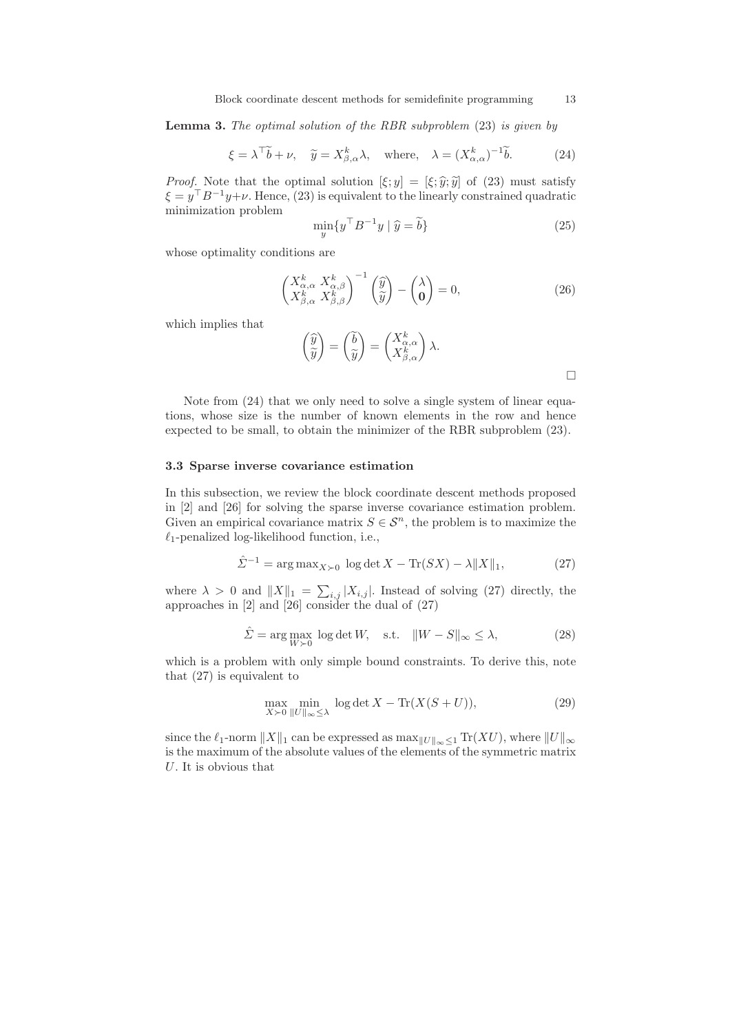Lemma 3. *The optimal solution of the RBR subproblem* (23) *is given by*

$$
\xi = \lambda^{\top} \widetilde{b} + \nu, \quad \widetilde{y} = X^{k}_{\beta,\alpha} \lambda, \quad \text{where,} \quad \lambda = (X^{k}_{\alpha,\alpha})^{-1} \widetilde{b}.
$$
 (24)

*Proof.* Note that the optimal solution  $[\xi; y] = [\xi; \hat{y}, \hat{y}]$  of (23) must satisfy  $\xi = y^{\top}B^{-1}y + \nu$ . Hence, (23) is equivalent to the linearly constrained quadratic minimization problem

$$
\min_{y} \{ y^{\top} B^{-1} y \mid \hat{y} = \tilde{b} \}
$$
\n(25)

whose optimality conditions are

$$
\begin{pmatrix} X_{\alpha,\alpha}^k & X_{\alpha,\beta}^k \\ X_{\beta,\alpha}^k & X_{\beta,\beta}^k \end{pmatrix}^{-1} \begin{pmatrix} \widehat{y} \\ \widetilde{y} \end{pmatrix} - \begin{pmatrix} \lambda \\ 0 \end{pmatrix} = 0, \tag{26}
$$

which implies that

$$
\begin{pmatrix} \widehat{y} \\ \widetilde{y} \end{pmatrix} = \begin{pmatrix} \widetilde{b} \\ \widetilde{y} \end{pmatrix} = \begin{pmatrix} X_{\alpha,\alpha}^k \\ X_{\beta,\alpha}^k \end{pmatrix} \lambda.
$$

Note from (24) that we only need to solve a single system of linear equations, whose size is the number of known elements in the row and hence expected to be small, to obtain the minimizer of the RBR subproblem (23).

### 3.3 Sparse inverse covariance estimation

In this subsection, we review the block coordinate descent methods proposed in [2] and [26] for solving the sparse inverse covariance estimation problem. Given an empirical covariance matrix  $S \in \mathcal{S}^n$ , the problem is to maximize the  $\ell_1$ -penalized log-likelihood function, i.e.,

$$
\hat{\Sigma}^{-1} = \arg \max_{X \succ 0} \log \det X - \text{Tr}(SX) - \lambda ||X||_1,\tag{27}
$$

where  $\lambda > 0$  and  $||X||_1 = \sum_{i,j} |X_{i,j}|$ . Instead of solving (27) directly, the approaches in [2] and [26] consider the dual of (27)

$$
\hat{\Sigma} = \arg \max_{W \succ 0} \log \det W, \quad \text{s.t.} \quad ||W - S||_{\infty} \le \lambda,
$$
\n(28)

which is a problem with only simple bound constraints. To derive this, note that (27) is equivalent to

$$
\max_{X \succ 0} \min_{\|U\|_{\infty} \le \lambda} \log \det X - \text{Tr}(X(S+U)),\tag{29}
$$

since the  $\ell_1$ -norm  $||X||_1$  can be expressed as  $\max_{||U||_{\infty} \leq 1} \text{Tr}(XU)$ , where  $||U||_{\infty}$ is the maximum of the absolute values of the elements of the symmetric matrix U. It is obvious that

 $\Box$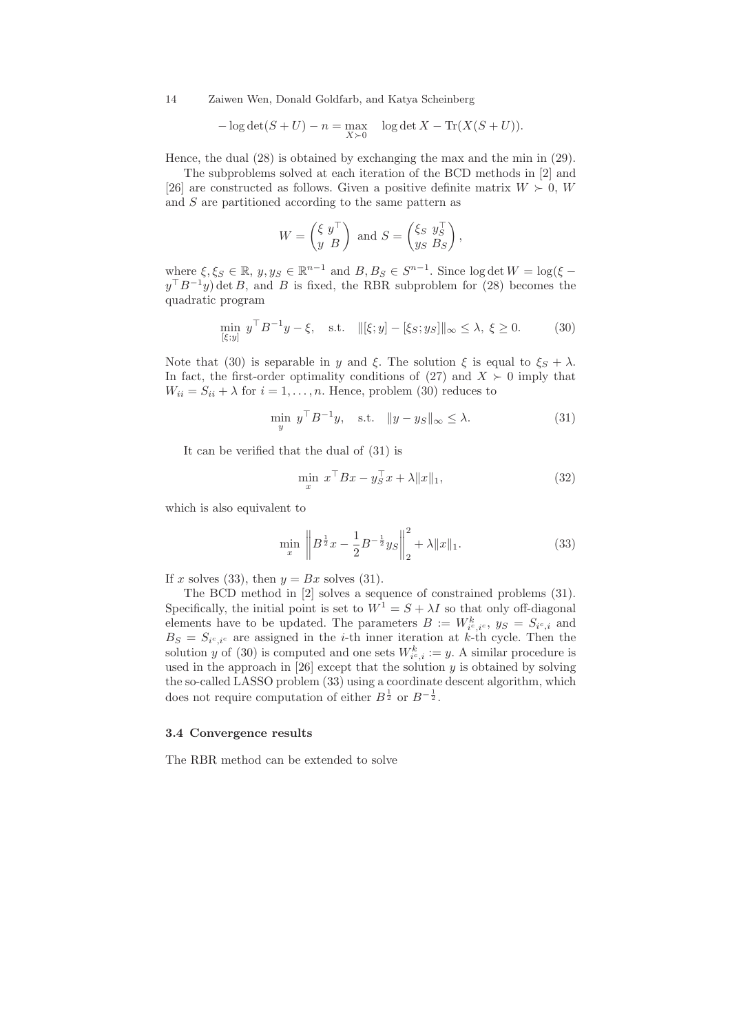$$
-\log \det(S+U) - n = \max_{X \succ 0} \quad \log \det X - \text{Tr}(X(S+U)).
$$

Hence, the dual (28) is obtained by exchanging the max and the min in (29).

The subproblems solved at each iteration of the BCD methods in [2] and [26] are constructed as follows. Given a positive definite matrix  $W \succ 0$ , W and S are partitioned according to the same pattern as

$$
W = \begin{pmatrix} \xi & y^{\top} \\ y & B \end{pmatrix} \text{ and } S = \begin{pmatrix} \xi_S & y_S^{\top} \\ y_S & B_S \end{pmatrix},
$$

where  $\xi, \xi_S \in \mathbb{R}, y, y_S \in \mathbb{R}^{n-1}$  and  $B, B_S \in S^{n-1}$ . Since  $\log \det W = \log(\xi$  $y<sup>T</sup>B<sup>-1</sup>y$  det B, and B is fixed, the RBR subproblem for (28) becomes the quadratic program

$$
\min_{[\xi; y]} y^{\top} B^{-1} y - \xi, \quad \text{s.t.} \quad ||[\xi; y] - [\xi_S; y_S]||_{\infty} \le \lambda, \ \xi \ge 0. \tag{30}
$$

Note that (30) is separable in y and ξ. The solution ξ is equal to  $\xi_s + \lambda$ . In fact, the first-order optimality conditions of  $(27)$  and  $X \succ 0$  imply that  $W_{ii} = S_{ii} + \lambda$  for  $i = 1, ..., n$ . Hence, problem (30) reduces to

$$
\min_{y} y^{\top} B^{-1} y, \quad \text{s.t.} \quad \|y - y_S\|_{\infty} \le \lambda. \tag{31}
$$

It can be verified that the dual of (31) is

$$
\min_{x} x^{\top} Bx - y_S^{\top} x + \lambda \|x\|_1,\tag{32}
$$

which is also equivalent to

$$
\min_{x} \left\| B^{\frac{1}{2}} x - \frac{1}{2} B^{-\frac{1}{2}} y_{S} \right\|_{2}^{2} + \lambda \| x \|_{1}.
$$
 (33)

If x solves (33), then  $y = Bx$  solves (31).

The BCD method in [2] solves a sequence of constrained problems (31). Specifically, the initial point is set to  $W^1 = S + \lambda I$  so that only off-diagonal elements have to be updated. The parameters  $B := W_{i^c, i^c}^k$ ,  $y_S = S_{i^c, i}$  and  $B_S = S_{i^c,i^c}$  are assigned in the *i*-th inner iteration at *k*-th cycle. Then the solution y of (30) is computed and one sets  $W_{i^c,i}^k := y$ . A similar procedure is used in the approach in [26] except that the solution  $y$  is obtained by solving the so-called LASSO problem (33) using a coordinate descent algorithm, which does not require computation of either  $B^{\frac{1}{2}}$  or  $B^{-\frac{1}{2}}$ .

#### 3.4 Convergence results

The RBR method can be extended to solve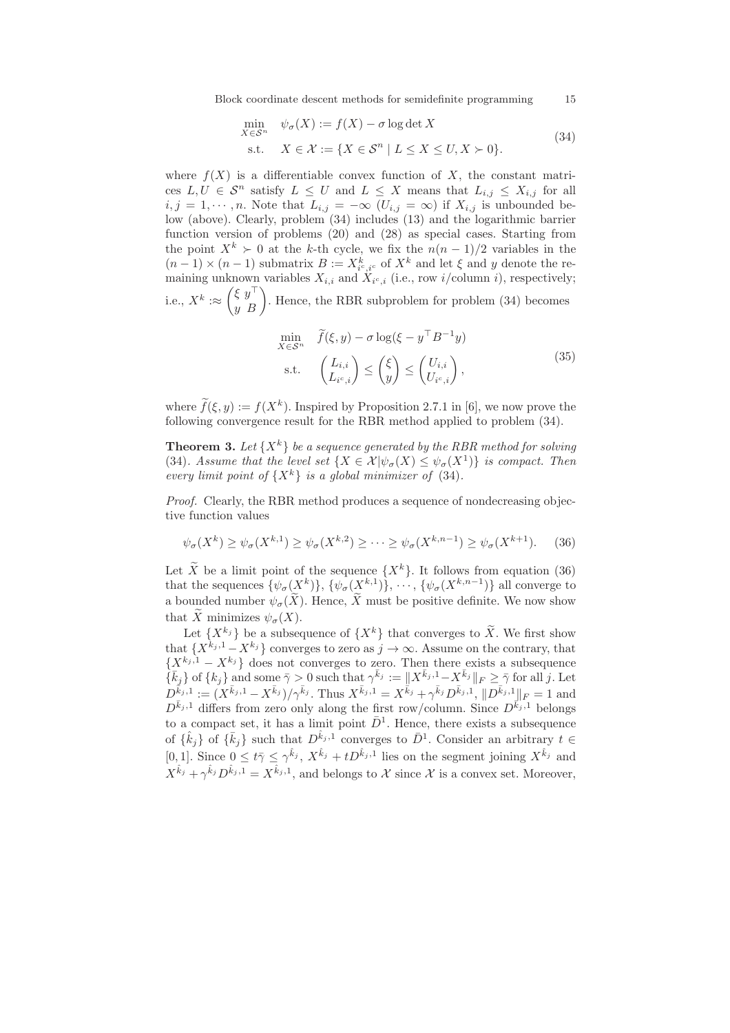Block coordinate descent methods for semidefinite programming 15

$$
\min_{X \in \mathcal{S}^n} \quad \psi_{\sigma}(X) := f(X) - \sigma \log \det X
$$
\n
$$
\text{s.t.} \quad X \in \mathcal{X} := \{ X \in \mathcal{S}^n \mid L \le X \le U, X \succ 0 \}. \tag{34}
$$

where  $f(X)$  is a differentiable convex function of X, the constant matrices  $L, U \in \mathcal{S}^n$  satisfy  $L \leq U$  and  $L \leq X$  means that  $L_{i,j} \leq X_{i,j}$  for all  $i, j = 1, \dots, n$ . Note that  $L_{i,j} = -\infty$   $(U_{i,j} = \infty)$  if  $X_{i,j}$  is unbounded below (above). Clearly, problem (34) includes (13) and the logarithmic barrier function version of problems (20) and (28) as special cases. Starting from the point  $X^k \succ 0$  at the k-th cycle, we fix the  $n(n-1)/2$  variables in the  $(n-1) \times (n-1)$  submatrix  $B := X_{i^c, i^c}^k$  of  $X^k$  and let  $\xi$  and y denote the remaining unknown variables  $X_{i,i}$  and  $X_{i^c,i}$  (i.e., row i/column i), respectively; i.e.,  $X^k : \approx$  $\begin{pmatrix} \xi y^{\top} \\ y B \end{pmatrix}$ . Hence, the RBR subproblem for problem (34) becomes

$$
\min_{X \in \mathcal{S}^n} \quad \widetilde{f}(\xi, y) - \sigma \log(\xi - y^\top B^{-1} y) \n\text{s.t.} \quad \begin{pmatrix} L_{i,i} \\ L_{i^c,i} \end{pmatrix} \le \begin{pmatrix} \xi \\ y \end{pmatrix} \le \begin{pmatrix} U_{i,i} \\ U_{i^c,i} \end{pmatrix},
$$
\n(35)

where  $\tilde{f}(\xi, y) := f(X^k)$ . Inspired by Proposition 2.7.1 in [6], we now prove the following convergence result for the RBR method applied to problem (34).

**Theorem 3.** Let  $\{X^k\}$  be a sequence generated by the RBR method for solving (34)*.* Assume that the level set  $\{X \in \mathcal{X} | \psi_{\sigma}(X) \leq \psi_{\sigma}(X^1) \}$  is compact. Then *every limit point of*  $\{X^k\}$  *is a global minimizer of* (34)*.* 

*Proof.* Clearly, the RBR method produces a sequence of nondecreasing objective function values

$$
\psi_{\sigma}(X^k) \ge \psi_{\sigma}(X^{k,1}) \ge \psi_{\sigma}(X^{k,2}) \ge \cdots \ge \psi_{\sigma}(X^{k,n-1}) \ge \psi_{\sigma}(X^{k+1}). \tag{36}
$$

Let  $\widetilde{X}$  be a limit point of the sequence  $\{X^k\}$ . It follows from equation (36) that the sequences  $\{\psi_{\sigma}(\underline{X}^k)\}, \{\psi_{\sigma}(\underline{X}^{k,1})\}, \cdots, \{\psi_{\sigma}(X^{k,n-1})\}\$ all converge to a bounded number  $\psi_{\sigma}(\widetilde{X})$ . Hence,  $\widetilde{X}$  must be positive definite. We now show that  $\widetilde{X}$  minimizes  $\psi_{\sigma}(X)$ .

Let  $\{X^{k_j}\}$  be a subsequence of  $\{X^k\}$  that converges to  $\widetilde{X}$ . We first show that  $\{X^{k_j,1} - X^{k_j}\}\)$  converges to zero as  $j \to \infty$ . Assume on the contrary, that  $\{X^{k_j,1} - X^{k_j}\}\)$  does not converges to zero. Then there exists a subsequence  $\{\bar{k}_j\}$  of  $\{k_j\}$  and some  $\bar{\gamma} > 0$  such that  $\gamma^{\bar{k}_j} := ||X^{\bar{k}_j,1} - X^{\bar{k}_j}||_F \geq \bar{\gamma}$  for all j. Let  $D^{\bar{k}_j,1} := (X^{\bar{k}_j,1} - X^{\bar{k}_j})/\gamma^{\bar{k}_j}$ . Thus  $X^{\bar{k}_j,1} = X^{\bar{k}_j} + \gamma^{\bar{k}_j} D^{\bar{k}_j,1}$ ,  $||D^{\bar{k}_j,1}||_F = 1$  and  $D^{\bar{k}_j,1}$  differs from zero only along the first row/column. Since  $D^{\bar{k}_j,1}$  belongs to a compact set, it has a limit point  $\bar{D}^1$ . Hence, there exists a subsequence of  $\{\hat{k}_j\}$  of  $\{\bar{k}_j\}$  such that  $D^{\hat{k}_j,1}$  converges to  $\bar{D}^1$ . Consider an arbitrary  $t \in$ [0,1]. Since  $0 \leq t \bar{\gamma} \leq \gamma^{\hat{k}_j}$ ,  $X^{\hat{k}_j} + tD^{\hat{k}_j,1}$  lies on the segment joining  $X^{\hat{k}_j}$  and  $X^{\hat{k}_j} + \gamma^{\hat{k}_j} D^{\hat{k}_j,1} = X^{\hat{k}_j,1}$ , and belongs to X since X is a convex set. Moreover,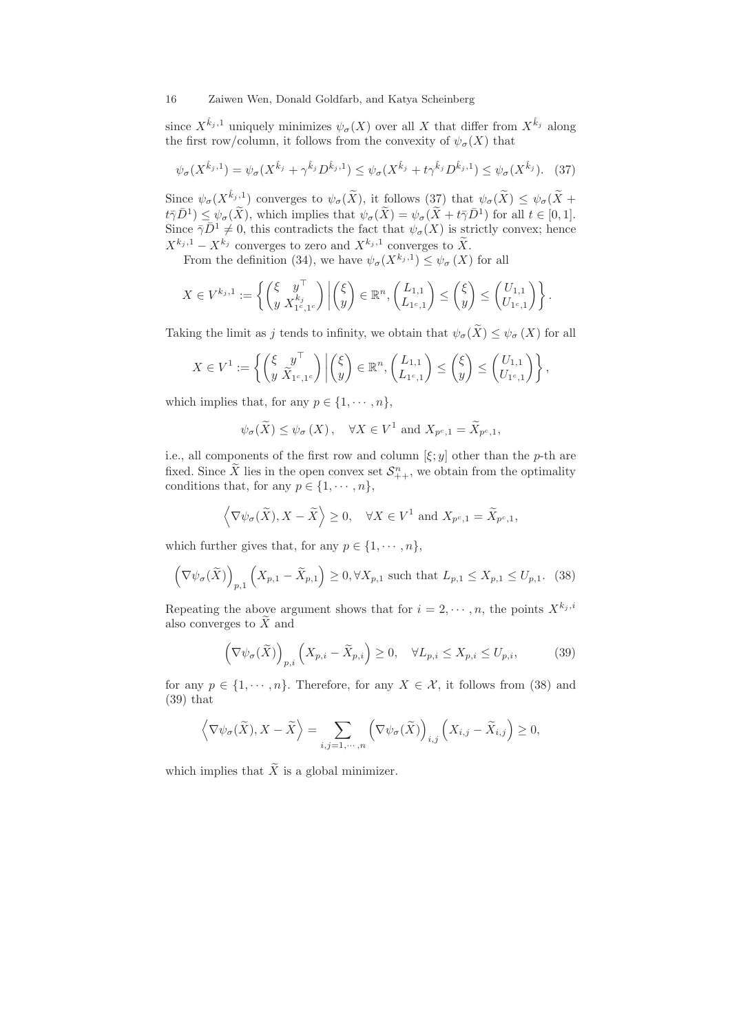since  $X^{\hat{k}_j,1}$  uniquely minimizes  $\psi_{\sigma}(X)$  over all X that differ from  $X^{\hat{k}_j}$  along the first row/column, it follows from the convexity of  $\psi_{\sigma}(X)$  that

$$
\psi_{\sigma}(X^{\hat{k}_j,1}) = \psi_{\sigma}(X^{\hat{k}_j} + \gamma^{\hat{k}_j} D^{\hat{k}_j,1}) \leq \psi_{\sigma}(X^{\hat{k}_j} + t\gamma^{\hat{k}_j} D^{\hat{k}_j,1}) \leq \psi_{\sigma}(X^{\hat{k}_j}). \tag{37}
$$

Since  $\psi_{\sigma}(X^{\hat{k}_j,1})$  converges to  $\psi_{\sigma}(\widetilde{X})$ , it follows  $(37)$  that  $\psi_{\sigma}(\widetilde{X}) \leq \psi_{\sigma}(\widetilde{X}) +$  $t\bar{\gamma}\bar{D}^1 \leq \psi_{\sigma}(\tilde{X})$ , which implies that  $\psi_{\sigma}(\tilde{X}) = \psi_{\sigma}(\tilde{X}) + t\bar{\gamma}\bar{D}^1$  for all  $t \in [0,1]$ . Since  $\bar{\gamma} \bar{D}^1 \neq 0$ , this contradicts the fact that  $\psi_{\sigma}(X)$  is strictly convex; hence  $X^{k_j,1} - X^{k_j}$  converges to zero and  $X^{k_j,1}$  converges to  $\widetilde{X}$ .

From the definition (34), we have  $\psi_{\sigma}(X^{k_j,1}) \leq \psi_{\sigma}(X)$  for all

$$
X \in V^{k_j,1} := \left\{ \begin{pmatrix} \xi & y^{\top} \\ y & X_{1^c,1^c}^{k_j} \end{pmatrix} \middle| \begin{pmatrix} \xi \\ y \end{pmatrix} \in \mathbb{R}^n, \begin{pmatrix} L_{1,1} \\ L_{1^c,1} \end{pmatrix} \leq \begin{pmatrix} \xi \\ y \end{pmatrix} \leq \begin{pmatrix} U_{1,1} \\ U_{1^c,1} \end{pmatrix} \right\}.
$$

Taking the limit as j tends to infinity, we obtain that  $\psi_{\sigma}(\widetilde{X}) \leq \psi_{\sigma}(X)$  for all

$$
X \in V^1 := \left\{ \begin{pmatrix} \xi & y^{\top} \\ y & \widetilde{X}_{1^c,1^c} \end{pmatrix} \middle| \begin{pmatrix} \xi \\ y \end{pmatrix} \in \mathbb{R}^n, \begin{pmatrix} L_{1,1} \\ L_{1^c,1} \end{pmatrix} \leq \begin{pmatrix} \xi \\ y \end{pmatrix} \leq \begin{pmatrix} U_{1,1} \\ U_{1^c,1} \end{pmatrix} \right\},\right
$$

which implies that, for any  $p \in \{1, \dots, n\}$ ,

$$
\psi_{\sigma}(\widetilde{X}) \leq \psi_{\sigma}(X), \quad \forall X \in V^1 \text{ and } X_{p^c,1} = \widetilde{X}_{p^c,1},
$$

i.e., all components of the first row and column  $[\xi; y]$  other than the p-th are fixed. Since X lies in the open convex set  $S_{++}^n$ , we obtain from the optimality conditions that, for any  $p \in \{1, \dots, n\}$ ,

$$
\langle \nabla \psi_{\sigma}(\widetilde{X}), X - \widetilde{X} \rangle \ge 0, \quad \forall X \in V^1 \text{ and } X_{p^c, 1} = \widetilde{X}_{p^c, 1},
$$

which further gives that, for any  $p \in \{1, \dots, n\}$ ,

$$
\left(\nabla\psi_{\sigma}(\widetilde{X})\right)_{p,1}\left(X_{p,1}-\widetilde{X}_{p,1}\right)\geq 0,\forall X_{p,1}\text{ such that }L_{p,1}\leq X_{p,1}\leq U_{p,1}.\tag{38}
$$

Repeating the above argument shows that for  $i = 2, \dots, n$ , the points  $X^{k_j, i}$ also converges to  $\widetilde{X}$  and

$$
\left(\nabla\psi_{\sigma}(\widetilde{X})\right)_{p,i}\left(X_{p,i}-\widetilde{X}_{p,i}\right)\geq 0, \quad \forall L_{p,i}\leq X_{p,i}\leq U_{p,i},\tag{39}
$$

for any  $p \in \{1, \dots, n\}$ . Therefore, for any  $X \in \mathcal{X}$ , it follows from (38) and (39) that

$$
\left\langle \nabla \psi_{\sigma}(\widetilde{X}), X - \widetilde{X} \right\rangle = \sum_{i,j=1,\cdots,n} \left( \nabla \psi_{\sigma}(\widetilde{X}) \right)_{i,j} \left( X_{i,j} - \widetilde{X}_{i,j} \right) \ge 0,
$$

which implies that  $\widetilde{X}$  is a global minimizer.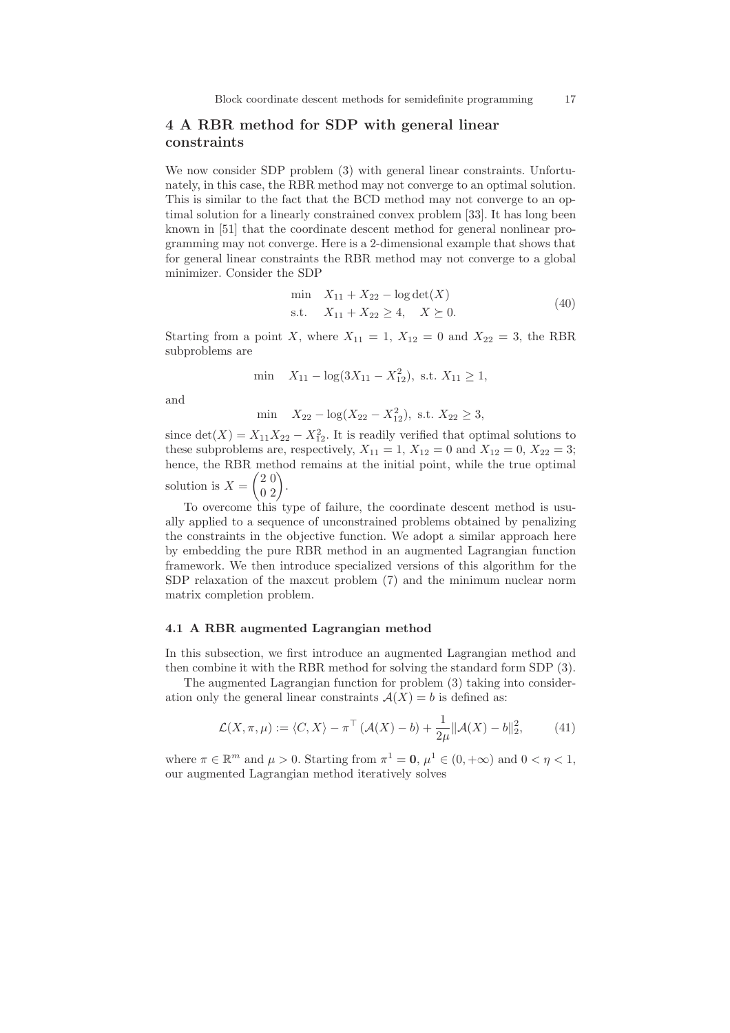# 4 A RBR method for SDP with general linear constraints

We now consider SDP problem (3) with general linear constraints. Unfortunately, in this case, the RBR method may not converge to an optimal solution. This is similar to the fact that the BCD method may not converge to an optimal solution for a linearly constrained convex problem [33]. It has long been known in [51] that the coordinate descent method for general nonlinear programming may not converge. Here is a 2-dimensional example that shows that for general linear constraints the RBR method may not converge to a global minimizer. Consider the SDP

$$
\min \quad X_{11} + X_{22} - \log \det(X) \n\text{s.t.} \quad X_{11} + X_{22} \ge 4, \quad X \succeq 0.
$$
\n(40)

Starting from a point X, where  $X_{11} = 1$ ,  $X_{12} = 0$  and  $X_{22} = 3$ , the RBR subproblems are

$$
\min \quad X_{11} - \log(3X_{11} - X_{12}^2), \text{ s.t. } X_{11} \ge 1,
$$

and

min  $X_{22} - \log(X_{22} - X_{12}^2)$ , s.t.  $X_{22} \ge 3$ ,

since  $\det(X) = X_{11}X_{22} - X_{12}^2$ . It is readily verified that optimal solutions to these subproblems are, respectively,  $X_{11} = 1, X_{12} = 0$  and  $X_{12} = 0, X_{22} = 3;$ hence, the RBR method remains at the initial point, while the true optimal solution is  $X =$  $\begin{pmatrix} 2 & 0 \\ 0 & 2 \end{pmatrix}$ .

To overcome this type of failure, the coordinate descent method is usually applied to a sequence of unconstrained problems obtained by penalizing the constraints in the objective function. We adopt a similar approach here by embedding the pure RBR method in an augmented Lagrangian function framework. We then introduce specialized versions of this algorithm for the SDP relaxation of the maxcut problem (7) and the minimum nuclear norm matrix completion problem.

### 4.1 A RBR augmented Lagrangian method

In this subsection, we first introduce an augmented Lagrangian method and then combine it with the RBR method for solving the standard form SDP (3).

The augmented Lagrangian function for problem (3) taking into consideration only the general linear constraints  $A(X) = b$  is defined as:

$$
\mathcal{L}(X,\pi,\mu) := \langle C, X \rangle - \pi^{\top} \left( \mathcal{A}(X) - b \right) + \frac{1}{2\mu} \| \mathcal{A}(X) - b \|_{2}^{2},\tag{41}
$$

where  $\pi \in \mathbb{R}^m$  and  $\mu > 0$ . Starting from  $\pi^1 = 0$ ,  $\mu^1 \in (0, +\infty)$  and  $0 < \eta < 1$ , our augmented Lagrangian method iteratively solves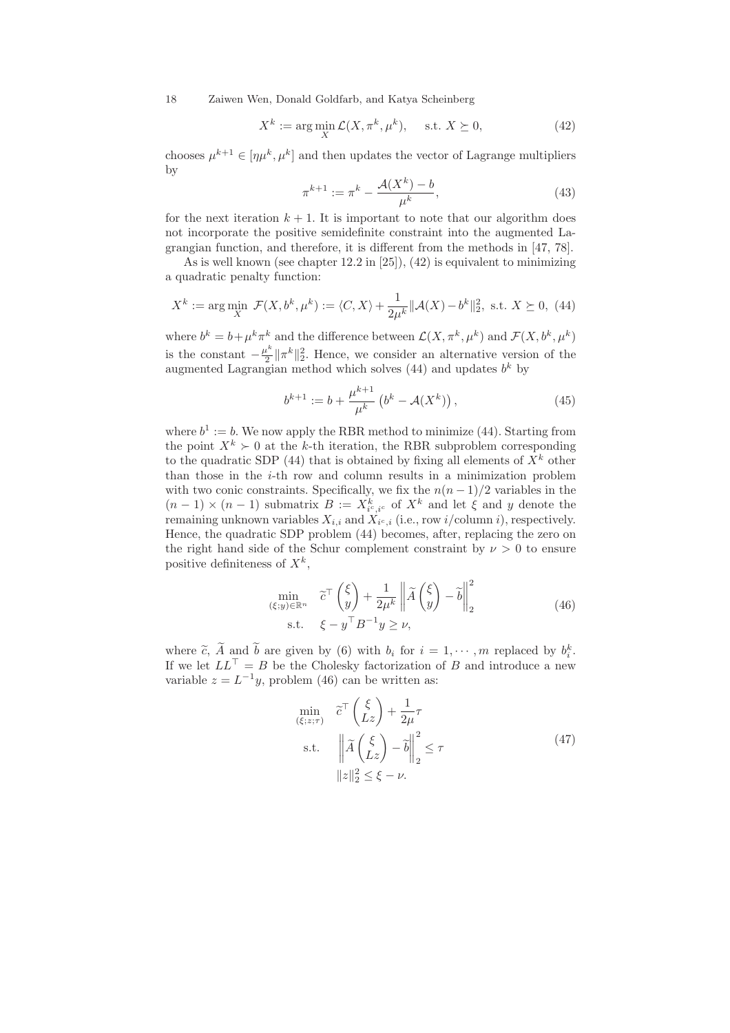$$
X^{k} := \arg\min_{X} \mathcal{L}(X, \pi^{k}, \mu^{k}), \quad \text{s.t. } X \succeq 0,
$$
 (42)

chooses  $\mu^{k+1} \in [\eta \mu^k, \mu^k]$  and then updates the vector of Lagrange multipliers by

$$
\pi^{k+1} := \pi^k - \frac{\mathcal{A}(X^k) - b}{\mu^k},
$$
\n(43)

for the next iteration  $k + 1$ . It is important to note that our algorithm does not incorporate the positive semidefinite constraint into the augmented Lagrangian function, and therefore, it is different from the methods in [47, 78].

As is well known (see chapter 12.2 in [25]), (42) is equivalent to minimizing a quadratic penalty function:

$$
X^{k} := \arg\min_{X} \mathcal{F}(X, b^{k}, \mu^{k}) := \langle C, X \rangle + \frac{1}{2\mu^{k}} ||\mathcal{A}(X) - b^{k}||_{2}^{2}, \text{ s.t. } X \succeq 0, (44)
$$

where  $b^k = b + \mu^k \pi^k$  and the difference between  $\mathcal{L}(X, \pi^k, \mu^k)$  and  $\mathcal{F}(X, b^k, \mu^k)$ is the constant  $-\frac{\mu^k}{2}$  $\frac{k^{k}}{2} \|\pi^{k}\|_{2}^{2}$ . Hence, we consider an alternative version of the augmented Lagrangian method which solves  $(44)$  and updates  $b<sup>k</sup>$  by

$$
b^{k+1} := b + \frac{\mu^{k+1}}{\mu^k} \left( b^k - \mathcal{A}(X^k) \right), \tag{45}
$$

where  $b^1 := b$ . We now apply the RBR method to minimize (44). Starting from the point  $X^k \geq 0$  at the k-th iteration, the RBR subproblem corresponding to the quadratic SDP (44) that is obtained by fixing all elements of  $X^k$  other than those in the  $i$ -th row and column results in a minimization problem with two conic constraints. Specifically, we fix the  $n(n-1)/2$  variables in the  $(n-1) \times (n-1)$  submatrix  $B := X_{i^c, i^c}^k$  of  $X^k$  and let  $\xi$  and y denote the remaining unknown variables  $X_{i,i}$  and  $X_{i^c,i}$  (i.e., row  $i/\text{column }i$ ), respectively. Hence, the quadratic SDP problem (44) becomes, after, replacing the zero on the right hand side of the Schur complement constraint by  $\nu > 0$  to ensure positive definiteness of  $X^k$ ,

$$
\min_{\substack{(\xi; y) \in \mathbb{R}^n \\ \text{s.t.} \quad \xi - y^\top B^{-1} y \ge \nu,}} \tilde{c}^\top \left(\frac{\xi}{y}\right) + \frac{1}{2\mu^k} \left\| \tilde{A} \left(\frac{\xi}{y}\right) - \tilde{b} \right\|_2^2
$$
\n
$$
(46)
$$

where  $\tilde{c}$ ,  $\tilde{A}$  and  $\tilde{b}$  are given by (6) with  $b_i$  for  $i = 1, \dots, m$  replaced by  $b_i^k$ . If we let  $LL<sup>+</sup> = B$  be the Cholesky factorization of B and introduce a new variable  $z = L^{-1}y$ , problem (46) can be written as:

$$
\min_{(\xi;z;\tau)} \quad \tilde{c}^{\top} \begin{pmatrix} \xi \\ Lz \end{pmatrix} + \frac{1}{2\mu} \tau
$$
\n
$$
\text{s.t.} \quad \left\| \tilde{A} \begin{pmatrix} \xi \\ Lz \end{pmatrix} - \tilde{b} \right\|_{2}^{2} \leq \tau
$$
\n
$$
\|z\|_{2}^{2} \leq \xi - \nu.
$$
\n(47)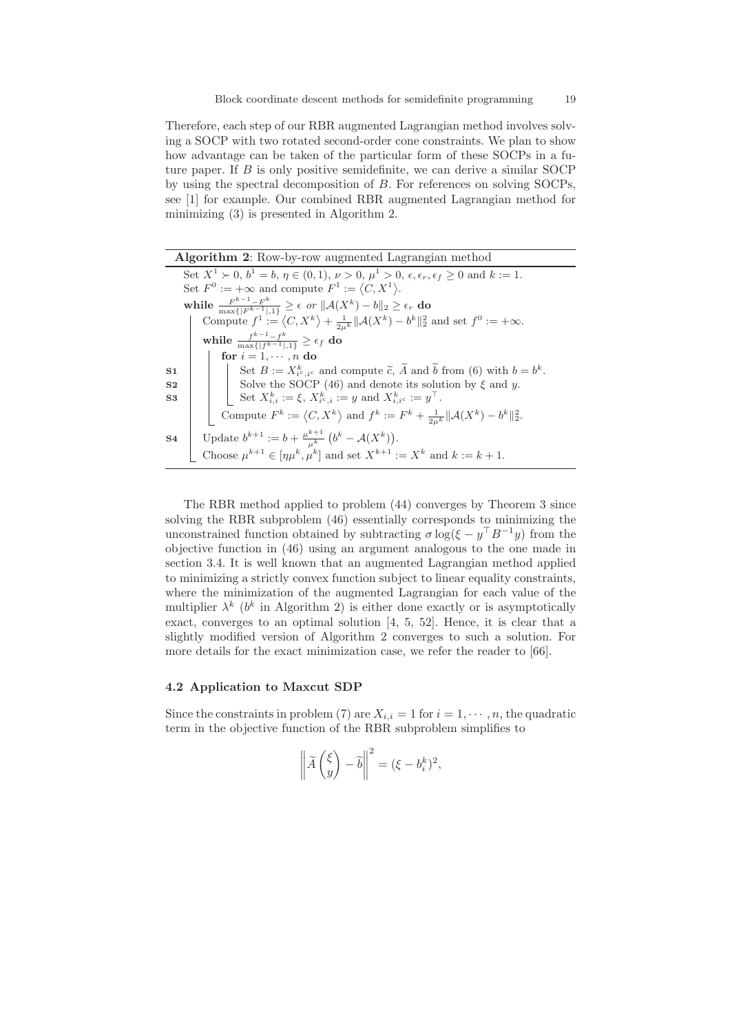Therefore, each step of our RBR augmented Lagrangian method involves solving a SOCP with two rotated second-order cone constraints. We plan to show how advantage can be taken of the particular form of these SOCPs in a future paper. If  $B$  is only positive semidefinite, we can derive a similar SOCP by using the spectral decomposition of B. For references on solving SOCPs, see [1] for example. Our combined RBR augmented Lagrangian method for minimizing (3) is presented in Algorithm 2.

| <b>Algorithm 2:</b> Row-by-row augmented Lagrangian method                                                                            |
|---------------------------------------------------------------------------------------------------------------------------------------|
| Set $X^1 \succ 0$ , $b^1 = b$ , $\eta \in (0, 1)$ , $\nu > 0$ , $\mu^1 > 0$ , $\epsilon, \epsilon_r, \epsilon_f \ge 0$ and $k := 1$ . |
| Set $F^0 := +\infty$ and compute $F^1 := \langle C, X^1 \rangle$ .                                                                    |
| while $\frac{F^{k-1}-F^k}{\max\{ F^{k-1} ,1\}} \geq \epsilon$ or $  \mathcal{A}(X^k)-b  _2 \geq \epsilon_r$ do                        |
| Compute $f^1 := \langle C, X^k \rangle + \frac{1}{2n^k}   \mathcal{A}(X^k) - b^k  _2^2$ and set $f^0 := +\infty$ .                    |
| while $\frac{f^{k-1}-f^k}{\max\{ f^{k-1} ,1\}} \geq \epsilon_f$ do                                                                    |
| for $i = 1, \dots, n$ do                                                                                                              |
| Set $B := X_{i^c, i^c}^k$ and compute $\tilde{c}$ , $\tilde{A}$ and $\tilde{b}$ from (6) with $b = b^k$ .<br>S <sub>1</sub>           |
| Solve the SOCP (46) and denote its solution by $\xi$ and y.<br>S <sub>2</sub>                                                         |
| Set $X_{i,i}^k := \xi$ , $X_{i^c,i}^k := y$ and $X_{i,i^c}^k := y^\top$ .<br>S <sub>3</sub>                                           |
| Compute $F^k := \langle C, X^k \rangle$ and $f^k := F^k + \frac{1}{2u^k}   \mathcal{A}(X^k) - b^k  _2^2$ .                            |
| Update $b^{k+1} := b + \frac{\mu^{k+1}}{\mu^k} (b^k - \mathcal{A}(X^k)).$<br>S <sub>4</sub>                                           |
| Choose $\mu^{k+1} \in [\eta \mu^k, \mu^k]$ and set $X^{k+1} := X^k$ and $k := k + 1$ .                                                |

The RBR method applied to problem (44) converges by Theorem 3 since solving the RBR subproblem (46) essentially corresponds to minimizing the unconstrained function obtained by subtracting  $\sigma \log(\xi - y^{\top} B^{-1} y)$  from the objective function in (46) using an argument analogous to the one made in section 3.4. It is well known that an augmented Lagrangian method applied to minimizing a strictly convex function subject to linear equality constraints, where the minimization of the augmented Lagrangian for each value of the multiplier  $\lambda^k$  ( $b^k$  in Algorithm 2) is either done exactly or is asymptotically exact, converges to an optimal solution [4, 5, 52]. Hence, it is clear that a slightly modified version of Algorithm 2 converges to such a solution. For more details for the exact minimization case, we refer the reader to [66].

# 4.2 Application to Maxcut SDP

Since the constraints in problem (7) are  $X_{i,i} = 1$  for  $i = 1, \dots, n$ , the quadratic term in the objective function of the RBR subproblem simplifies to

$$
\left\| \widetilde{A} \begin{pmatrix} \xi \\ y \end{pmatrix} - \widetilde{b} \right\|^2 = (\xi - b_i^k)^2,
$$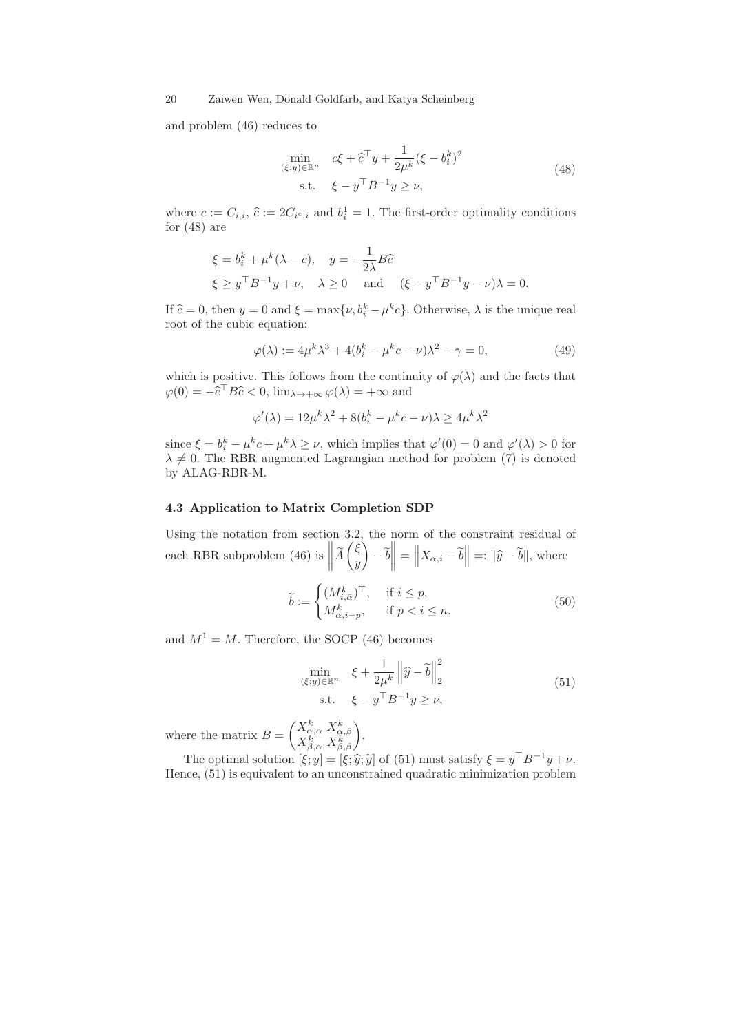and problem (46) reduces to

$$
\min_{\substack{(\xi; y) \in \mathbb{R}^n \\ \text{s.t.} \quad \xi - y^\top B^{-1} y \ge \nu,}} c\xi + \widehat{c}^\top y + \frac{1}{2\mu^k} (\xi - b_i^k)^2
$$
\n
$$
(48)
$$

where  $c := C_{i,i}, \hat{c} := 2C_{i^c,i}$  and  $b_i^1 = 1$ . The first-order optimality conditions for  $(48)$  are

$$
\xi = b_i^k + \mu^k (\lambda - c), \quad y = -\frac{1}{2\lambda} B\hat{c}
$$
  

$$
\xi \ge y^\top B^{-1} y + \nu, \quad \lambda \ge 0 \quad \text{and} \quad (\xi - y^\top B^{-1} y - \nu)\lambda = 0.
$$

If  $\hat{c} = 0$ , then  $y = 0$  and  $\xi = \max{\lbrace \nu, b_i^k - \mu^k c \rbrace}$ . Otherwise,  $\lambda$  is the unique real root of the cubic equation:

$$
\varphi(\lambda) := 4\mu^k \lambda^3 + 4(b_i^k - \mu^k c - \nu)\lambda^2 - \gamma = 0,
$$
\n(49)

which is positive. This follows from the continuity of  $\varphi(\lambda)$  and the facts that  $\varphi(0) = -\widehat{c}^\top B \widehat{c} < 0$ ,  $\lim_{\lambda \to +\infty} \varphi(\lambda) = +\infty$  and

$$
\varphi'(\lambda) = 12\mu^k \lambda^2 + 8(b_i^k - \mu^k c - \nu)\lambda \ge 4\mu^k \lambda^2
$$

since  $\xi = b_i^k - \mu^k c + \mu^k \lambda \ge \nu$ , which implies that  $\varphi'(0) = 0$  and  $\varphi'(\lambda) > 0$  for  $\lambda \neq 0$ . The RBR augmented Lagrangian method for problem (7) is denoted by ALAG-RBR-M.

### 4.3 Application to Matrix Completion SDP

Using the notation from section 3.2, the norm of the constraint residual of each RBR subproblem (46) is  $\|\tilde{A}$  $\sqrt{\xi}$  $\hat{y}$ Í.  $-\,b$  $\left\| = \left\| X_{\alpha,i} - \tilde{b} \right\| =: \|\hat{y} - \tilde{b}\|$ , where

$$
\widetilde{b} := \begin{cases}\n(M_{i,\bar{\alpha}}^k)^\top, & \text{if } i \le p, \\
M_{\alpha,i-p}^k, & \text{if } p < i \le n,\n\end{cases}
$$
\n(50)

and  $M^1 = M$ . Therefore, the SOCP (46) becomes

$$
\min_{\substack{(\xi; y)\in\mathbb{R}^n\\ \text{s.t.} \quad \xi - y^\top B^{-1}y \ge \nu,}} \xi + \frac{1}{2\mu^k} \left\| \widehat{y} - \widetilde{b} \right\|_2^2 \tag{51}
$$

where the matrix  $B =$  $\begin{pmatrix} X^k_{\alpha,\alpha}\ X^k_{\alpha,\beta} \\ X^k_{\beta,\alpha}\ X^k_{\beta,\beta} \end{pmatrix}.$ 

The optimal solution  $[\xi; y] = [\xi; \hat{y}, \tilde{y}]$  of (51) must satisfy  $\xi = y^{\top} B^{-1} y + \nu$ . Hence, (51) is equivalent to an unconstrained quadratic minimization problem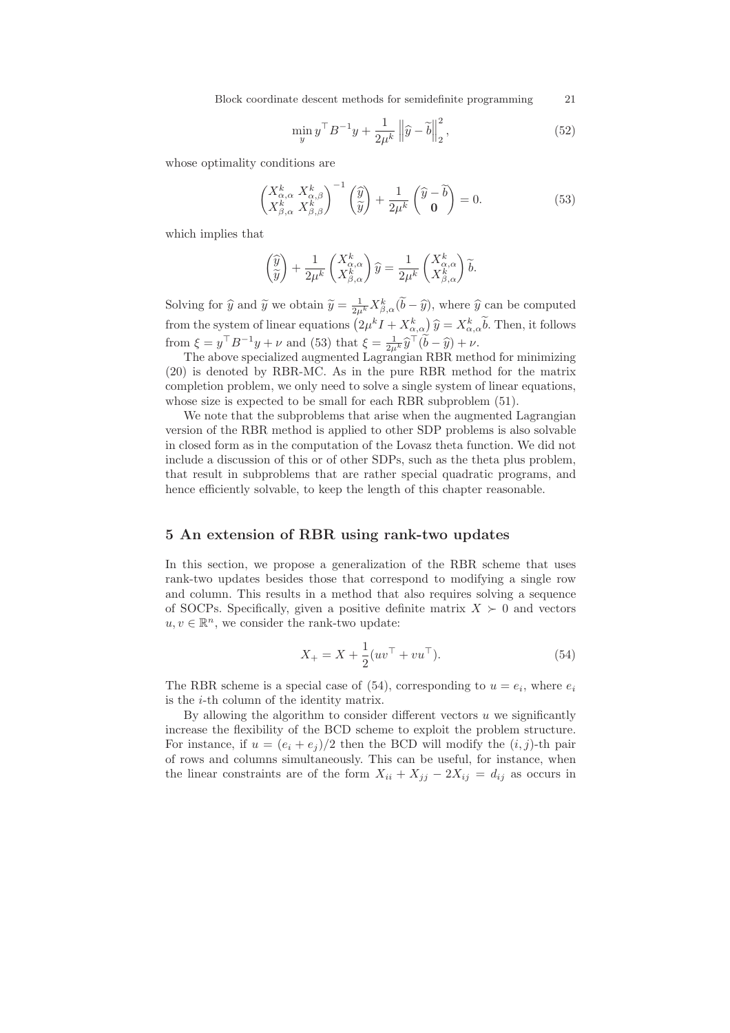Block coordinate descent methods for semidefinite programming 21

$$
\min_{y} y^{\top} B^{-1} y + \frac{1}{2\mu^k} \left\| \widehat{y} - \widetilde{b} \right\|_2^2, \tag{52}
$$

whose optimality conditions are

$$
\begin{pmatrix} X_{\alpha,\alpha}^k & X_{\alpha,\beta}^k \\ X_{\beta,\alpha}^k & X_{\beta,\beta}^k \end{pmatrix}^{-1} \begin{pmatrix} \widehat{y} \\ \widetilde{y} \end{pmatrix} + \frac{1}{2\mu^k} \begin{pmatrix} \widehat{y} - \widetilde{b} \\ \mathbf{0} \end{pmatrix} = 0.
$$
 (53)

which implies that

$$
\begin{pmatrix} \widehat{y} \\ \widetilde{y} \end{pmatrix} + \frac{1}{2\mu^k} \begin{pmatrix} X_{\alpha,\alpha}^k \\ X_{\beta,\alpha}^k \end{pmatrix} \widehat{y} = \frac{1}{2\mu^k} \begin{pmatrix} X_{\alpha,\alpha}^k \\ X_{\beta,\alpha}^k \end{pmatrix} \widetilde{b}.
$$

Solving for  $\hat{y}$  and  $\tilde{y}$  we obtain  $\tilde{y} = \frac{1}{2\mu^k} X^k_{\beta,\alpha}(\tilde{b} - \hat{y})$ , where  $\hat{y}$  can be computed from the system of linear equations  $(2\mu^k I + X_{\alpha,\alpha}^k) \hat{y} = X_{\alpha,\alpha}^k \tilde{b}$ . Then, it follows from  $\xi = y^{\top} B^{-1} y + \nu$  and (53) that  $\xi = \frac{1}{2\mu k} \hat{y}^{\top} (\tilde{b} - \hat{y}) + \nu$ .

The above specialized augmented Lagrangian RBR method for minimizing (20) is denoted by RBR-MC. As in the pure RBR method for the matrix completion problem, we only need to solve a single system of linear equations, whose size is expected to be small for each RBR subproblem (51).

We note that the subproblems that arise when the augmented Lagrangian version of the RBR method is applied to other SDP problems is also solvable in closed form as in the computation of the Lovasz theta function. We did not include a discussion of this or of other SDPs, such as the theta plus problem, that result in subproblems that are rather special quadratic programs, and hence efficiently solvable, to keep the length of this chapter reasonable.

# 5 An extension of RBR using rank-two updates

In this section, we propose a generalization of the RBR scheme that uses rank-two updates besides those that correspond to modifying a single row and column. This results in a method that also requires solving a sequence of SOCPs. Specifically, given a positive definite matrix  $X \succ 0$  and vectors  $u, v \in \mathbb{R}^n$ , we consider the rank-two update:

$$
X_{+} = X + \frac{1}{2}(uv^{\top} + vu^{\top}).
$$
\n(54)

The RBR scheme is a special case of  $(54)$ , corresponding to  $u = e_i$ , where  $e_i$ is the i-th column of the identity matrix.

By allowing the algorithm to consider different vectors  $u$  we significantly increase the flexibility of the BCD scheme to exploit the problem structure. For instance, if  $u = (e_i + e_j)/2$  then the BCD will modify the  $(i, j)$ -th pair of rows and columns simultaneously. This can be useful, for instance, when the linear constraints are of the form  $X_{ii} + X_{jj} - 2X_{ij} = d_{ij}$  as occurs in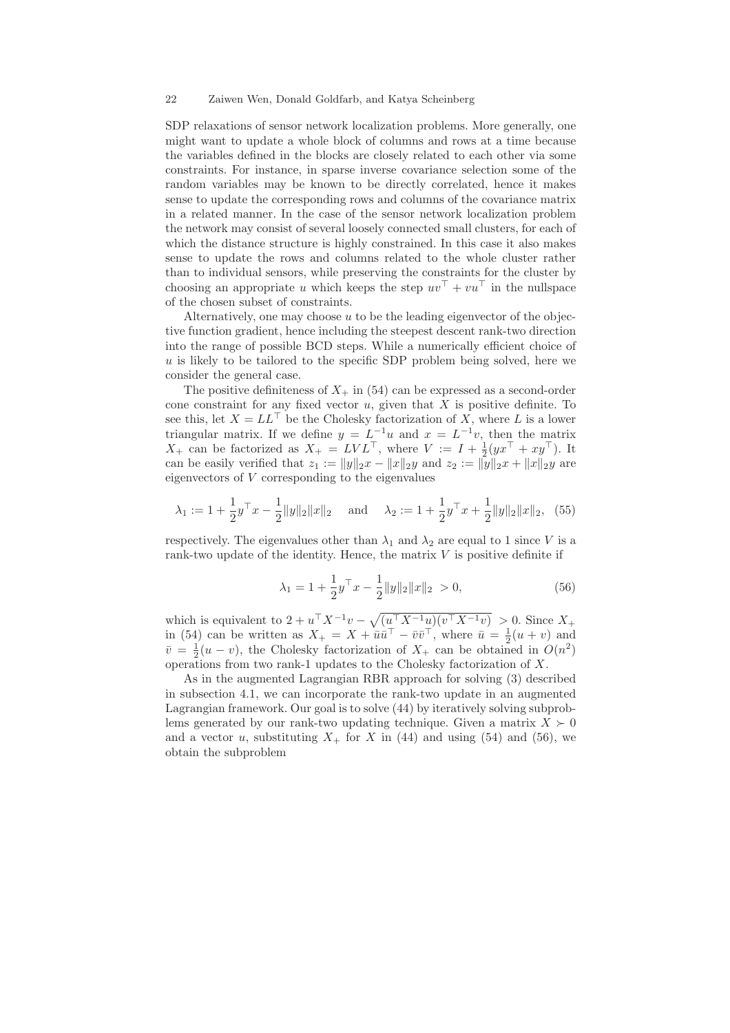SDP relaxations of sensor network localization problems. More generally, one might want to update a whole block of columns and rows at a time because the variables defined in the blocks are closely related to each other via some constraints. For instance, in sparse inverse covariance selection some of the random variables may be known to be directly correlated, hence it makes sense to update the corresponding rows and columns of the covariance matrix in a related manner. In the case of the sensor network localization problem the network may consist of several loosely connected small clusters, for each of which the distance structure is highly constrained. In this case it also makes sense to update the rows and columns related to the whole cluster rather than to individual sensors, while preserving the constraints for the cluster by choosing an appropriate u which keeps the step  $uv^{\top} + vu^{\top}$  in the nullspace of the chosen subset of constraints.

Alternatively, one may choose  $u$  to be the leading eigenvector of the objective function gradient, hence including the steepest descent rank-two direction into the range of possible BCD steps. While a numerically efficient choice of  $u$  is likely to be tailored to the specific SDP problem being solved, here we consider the general case.

The positive definiteness of  $X_+$  in (54) can be expressed as a second-order cone constraint for any fixed vector  $u$ , given that  $X$  is positive definite. To see this, let  $X = LL^{\top}$  be the Cholesky factorization of X, where L is a lower triangular matrix. If we define  $y = L^{-1}u$  and  $x = L^{-1}v$ , then the matrix  $X_+$  can be factorized as  $X_+ = LVL^{\top}$ , where  $V := I + \frac{1}{2}(yx^{\top} + xy^{\top})$ . It can be easily verified that  $z_1 := ||y||_2 x - ||x||_2 y$  and  $z_2 := ||y||_2 x + ||x||_2 y$  are eigenvectors of V corresponding to the eigenvalues

$$
\lambda_1 := 1 + \frac{1}{2}y^{\top}x - \frac{1}{2}||y||_2||x||_2
$$
 and  $\lambda_2 := 1 + \frac{1}{2}y^{\top}x + \frac{1}{2}||y||_2||x||_2$ , (55)

respectively. The eigenvalues other than  $\lambda_1$  and  $\lambda_2$  are equal to 1 since V is a rank-two update of the identity. Hence, the matrix  $V$  is positive definite if

$$
\lambda_1 = 1 + \frac{1}{2} y^\top x - \frac{1}{2} \|y\|_2 \|x\|_2 > 0,
$$
\n(56)

which is equivalent to  $2 + u^{\top} X^{-1} v - \sqrt{(u^{\top} X^{-1} u)(v^{\top} X^{-1} v)} > 0$ . Since  $X_+$ in (54) can be written as  $X_+ = X + \overline{u} \overline{u}^\top - \overline{v} \overline{v}^\top$ , where  $\overline{u} = \frac{1}{2}(u+v)$  and  $\bar{v} = \frac{1}{2}(u - v)$ , the Cholesky factorization of  $X_+$  can be obtained in  $O(n^2)$ operations from two rank-1 updates to the Cholesky factorization of X.

As in the augmented Lagrangian RBR approach for solving (3) described in subsection 4.1, we can incorporate the rank-two update in an augmented Lagrangian framework. Our goal is to solve (44) by iteratively solving subproblems generated by our rank-two updating technique. Given a matrix  $X \succeq 0$ and a vector u, substituting  $X_+$  for X in (44) and using (54) and (56), we obtain the subproblem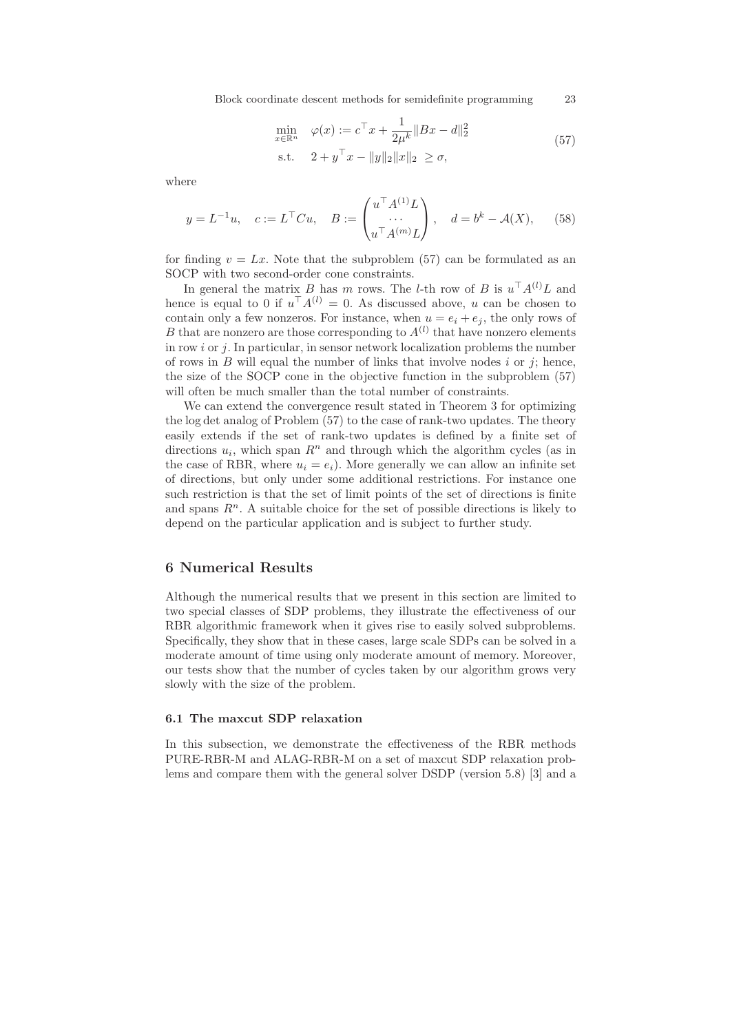Block coordinate descent methods for semidefinite programming 23

$$
\min_{x \in \mathbb{R}^n} \quad \varphi(x) := c^{\top} x + \frac{1}{2\mu^k} \|Bx - d\|_2^2
$$
\n
$$
\text{s.t.} \quad 2 + y^{\top} x - \|y\|_2 \|x\|_2 \ge \sigma,
$$
\n
$$
(57)
$$

where

$$
y = L^{-1}u, \quad c := L^{\top}Cu, \quad B := \begin{pmatrix} u^{\top} A^{(1)} L \\ \cdots \\ u^{\top} A^{(m)} L \end{pmatrix}, \quad d = b^k - \mathcal{A}(X), \tag{58}
$$

for finding  $v = Lx$ . Note that the subproblem (57) can be formulated as an SOCP with two second-order cone constraints.

In general the matrix B has m rows. The l-th row of B is  $u^{\top}A^{(l)}L$  and hence is equal to 0 if  $u^{\top} A^{(l)} = 0$ . As discussed above, u can be chosen to contain only a few nonzeros. For instance, when  $u = e_i + e_j$ , the only rows of B that are nonzero are those corresponding to  $A^{(l)}$  that have nonzero elements in row  $i$  or  $j$ . In particular, in sensor network localization problems the number of rows in  $B$  will equal the number of links that involve nodes  $i$  or  $j$ ; hence, the size of the SOCP cone in the objective function in the subproblem (57) will often be much smaller than the total number of constraints.

We can extend the convergence result stated in Theorem 3 for optimizing the log det analog of Problem (57) to the case of rank-two updates. The theory easily extends if the set of rank-two updates is defined by a finite set of directions  $u_i$ , which span  $R^n$  and through which the algorithm cycles (as in the case of RBR, where  $u_i = e_i$ ). More generally we can allow an infinite set of directions, but only under some additional restrictions. For instance one such restriction is that the set of limit points of the set of directions is finite and spans  $R<sup>n</sup>$ . A suitable choice for the set of possible directions is likely to depend on the particular application and is subject to further study.

### 6 Numerical Results

Although the numerical results that we present in this section are limited to two special classes of SDP problems, they illustrate the effectiveness of our RBR algorithmic framework when it gives rise to easily solved subproblems. Specifically, they show that in these cases, large scale SDPs can be solved in a moderate amount of time using only moderate amount of memory. Moreover, our tests show that the number of cycles taken by our algorithm grows very slowly with the size of the problem.

### 6.1 The maxcut SDP relaxation

In this subsection, we demonstrate the effectiveness of the RBR methods PURE-RBR-M and ALAG-RBR-M on a set of maxcut SDP relaxation problems and compare them with the general solver DSDP (version 5.8) [3] and a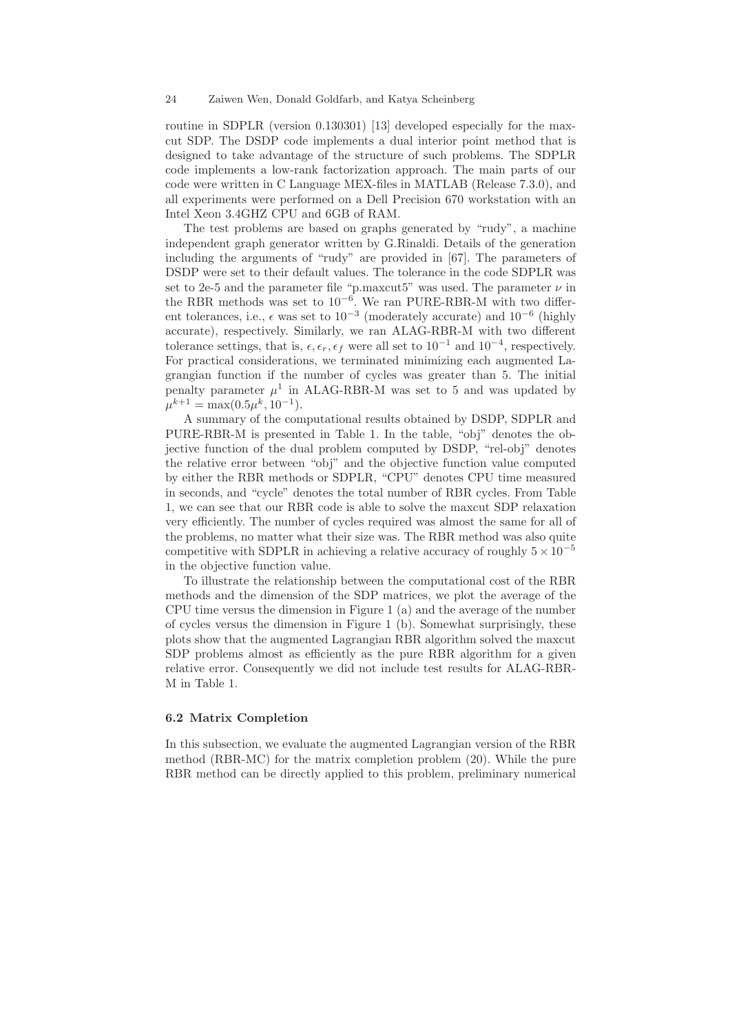routine in SDPLR (version 0.130301) [13] developed especially for the maxcut SDP. The DSDP code implements a dual interior point method that is designed to take advantage of the structure of such problems. The SDPLR code implements a low-rank factorization approach. The main parts of our code were written in C Language MEX-files in MATLAB (Release 7.3.0), and all experiments were performed on a Dell Precision 670 workstation with an Intel Xeon 3.4GHZ CPU and 6GB of RAM.

The test problems are based on graphs generated by "rudy", a machine independent graph generator written by G.Rinaldi. Details of the generation including the arguments of "rudy" are provided in [67]. The parameters of DSDP were set to their default values. The tolerance in the code SDPLR was set to 2e-5 and the parameter file "p.maxcut5" was used. The parameter  $\nu$  in the RBR methods was set to 10−<sup>6</sup> . We ran PURE-RBR-M with two different tolerances, i.e.,  $\epsilon$  was set to 10<sup>-3</sup> (moderately accurate) and 10<sup>-6</sup> (highly accurate), respectively. Similarly, we ran ALAG-RBR-M with two different tolerance settings, that is,  $\epsilon, \epsilon_r, \epsilon_f$  were all set to  $10^{-1}$  and  $10^{-4}$ , respectively. For practical considerations, we terminated minimizing each augmented Lagrangian function if the number of cycles was greater than 5. The initial penalty parameter  $\mu^1$  in ALAG-RBR-M was set to 5 and was updated by  $\mu^{k+1} = \max(0.5\mu^k, 10^{-1}).$ 

A summary of the computational results obtained by DSDP, SDPLR and PURE-RBR-M is presented in Table 1. In the table, "obj" denotes the objective function of the dual problem computed by DSDP, "rel-obj" denotes the relative error between "obj" and the objective function value computed by either the RBR methods or SDPLR, "CPU" denotes CPU time measured in seconds, and "cycle" denotes the total number of RBR cycles. From Table 1, we can see that our RBR code is able to solve the maxcut SDP relaxation very efficiently. The number of cycles required was almost the same for all of the problems, no matter what their size was. The RBR method was also quite competitive with SDPLR in achieving a relative accuracy of roughly  $5 \times 10^{-5}$ in the objective function value.

To illustrate the relationship between the computational cost of the RBR methods and the dimension of the SDP matrices, we plot the average of the CPU time versus the dimension in Figure 1 (a) and the average of the number of cycles versus the dimension in Figure 1 (b). Somewhat surprisingly, these plots show that the augmented Lagrangian RBR algorithm solved the maxcut SDP problems almost as efficiently as the pure RBR algorithm for a given relative error. Consequently we did not include test results for ALAG-RBR-M in Table 1.

### 6.2 Matrix Completion

In this subsection, we evaluate the augmented Lagrangian version of the RBR method (RBR-MC) for the matrix completion problem (20). While the pure RBR method can be directly applied to this problem, preliminary numerical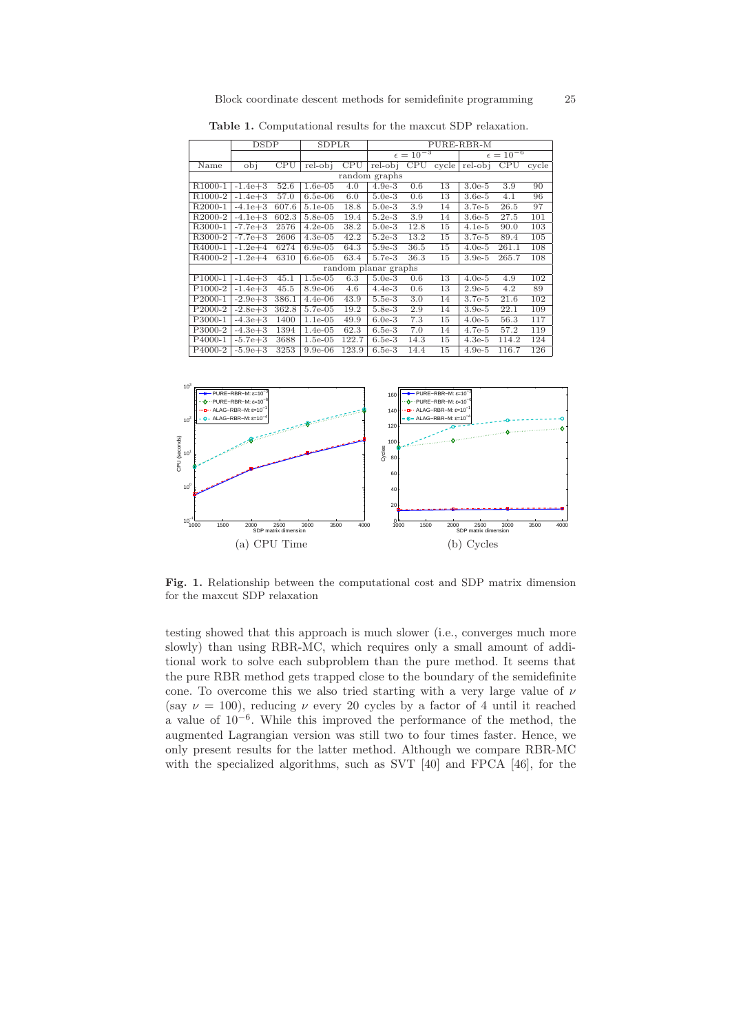|                      | DSDP        |       |            | SDPLR<br>PURE-RBR-M |                      |      |       |                      |       |        |
|----------------------|-------------|-------|------------|---------------------|----------------------|------|-------|----------------------|-------|--------|
|                      |             |       |            |                     | $\epsilon = 10^{-3}$ |      |       | $\epsilon = 10^{-6}$ |       |        |
| Name                 | obi         | CPU   | $rel-obi$  | CPU                 | $rel-obi$            | CPU  | cycle | $rel-obi$            | CPU   | cyclic |
| random graphs        |             |       |            |                     |                      |      |       |                      |       |        |
| R <sub>1000-1</sub>  | $-1.4e+3$   | 52.6  | $1.6e-0.5$ | 4.0                 | $4.9e-3$             | 0.6  | 13    | $3.0e-5$             | 3.9   | 90     |
| R <sub>1000-2</sub>  | $-1.4e+3$   | 57.0  | $6.5e-06$  | 6.0                 | $5.0e-3$             | 0.6  | 13    | $3.6e-5$             | 4.1   | 96     |
| R2000-1              | $-4.1e+3$   | 607.6 | $5.1e-0.5$ | 18.8                | $5.0e-3$             | 3.9  | 14    | $3.7e-5$             | 26.5  | 97     |
| R <sub>2000</sub> -2 | $-4.1e+3$   | 602.3 | $5.8e-0.5$ | 19.4                | $5.2e-3$             | 3.9  | 14    | $3.6e-5$             | 27.5  | 101    |
| R3000-1              | $-7.7e + 3$ | 2576  | $4.2e-0.5$ | 38.2                | $5.0e-3$             | 12.8 | 15    | $4.1e-5$             | 90.0  | 103    |
| R3000-2              | $-7.7e + 3$ | 2606  | $4.3e-0.5$ | 42.2                | $5.2e-3$             | 13.2 | 15    | $3.7e-5$             | 89.4  | 105    |
| R4000-1              | $-1.2e+4$   | 6274  | $6.9e-0.5$ | 64.3                | $5.9e-3$             | 36.5 | 15    | $4.0e-5$             | 261.1 | 108    |
| R <sub>4000</sub> -2 | $-1.2e+4$   | 6310  | $6.6e-0.5$ | 63.4                | 5.7e-3               | 36.3 | 15    | $3.9e-5$             | 265.7 | 108    |
|                      |             |       |            |                     | random planar graphs |      |       |                      |       |        |
| P <sub>1000-1</sub>  | $-1.4e+3$   | 45.1  | $1.5e-05$  | 6.3                 | $5.0e-3$             | 0.6  | 13    | $4.0e-5$             | 4.9   | 102    |
| P <sub>1000-2</sub>  | $-1.4e+3$   | 45.5  | $8.9e-06$  | 4.6                 | $4.4e-3$             | 0.6  | 13    | $2.9e-5$             | 4.2   | 89     |
| P <sub>2000-1</sub>  | $-2.9e + 3$ | 386.1 | $4.4e-06$  | 43.9                | $5.5e-3$             | 3.0  | 14    | $3.7e-5$             | 21.6  | 102    |
| P <sub>2000-2</sub>  | $-2.8e + 3$ | 362.8 | 5.7e-05    | 19.2                | $5.8e-3$             | 2.9  | 14    | $3.9e-5$             | 22.1  | 109    |
| P3000-1              | $-4.3e+3$   | 1400  | $1.1e-05$  | 49.9                | $6.0e-3$             | 7.3  | 15    | $4.0e-5$             | 56.3  | 117    |
| P3000-2              | $-4.3e+3$   | 1394  | $1.4e-05$  | 62.3                | $6.5e-3$             | 7.0  | 14    | $4.7e-5$             | 57.2  | 119    |
| P <sub>4000-1</sub>  | $-5.7e + 3$ | 3688  | $1.5e-05$  | 122.7               | $6.5e-3$             | 14.3 | 15    | $4.3e-5$             | 114.2 | 124    |
| P4000-2              | $-5.9e + 3$ | 3253  | $9.9e-06$  | 123.9               | $6.5e-3$             | 14.4 | 15    | $4.9e-5$             | 116.7 | 126    |

Table 1. Computational results for the maxcut SDP relaxation.



Fig. 1. Relationship between the computational cost and SDP matrix dimension for the maxcut SDP relaxation

testing showed that this approach is much slower (i.e., converges much more slowly) than using RBR-MC, which requires only a small amount of additional work to solve each subproblem than the pure method. It seems that the pure RBR method gets trapped close to the boundary of the semidefinite cone. To overcome this we also tried starting with a very large value of  $\nu$ (say  $\nu = 100$ ), reducing  $\nu$  every 20 cycles by a factor of 4 until it reached a value of 10−<sup>6</sup> . While this improved the performance of the method, the augmented Lagrangian version was still two to four times faster. Hence, we only present results for the latter method. Although we compare RBR-MC with the specialized algorithms, such as SVT [40] and FPCA [46], for the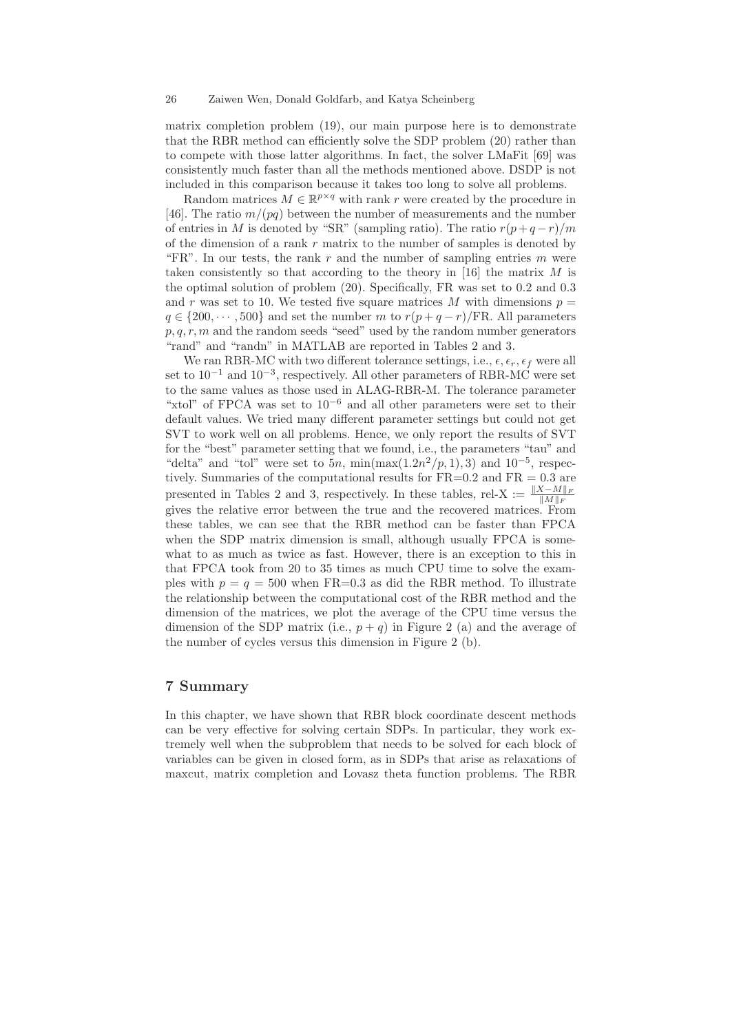matrix completion problem (19), our main purpose here is to demonstrate that the RBR method can efficiently solve the SDP problem (20) rather than to compete with those latter algorithms. In fact, the solver LMaFit [69] was consistently much faster than all the methods mentioned above. DSDP is not included in this comparison because it takes too long to solve all problems.

Random matrices  $M \in \mathbb{R}^{p \times q}$  with rank r were created by the procedure in [46]. The ratio  $m/(pq)$  between the number of measurements and the number of entries in M is denoted by "SR" (sampling ratio). The ratio  $r(p+q-r)/m$ of the dimension of a rank  $r$  matrix to the number of samples is denoted by "FR". In our tests, the rank r and the number of sampling entries  $m$  were taken consistently so that according to the theory in [16] the matrix  $M$  is the optimal solution of problem (20). Specifically, FR was set to 0.2 and 0.3 and r was set to 10. We tested five square matrices M with dimensions  $p =$  $q \in \{200, \dots, 500\}$  and set the number m to  $r(p+q-r)/FR$ . All parameters  $p, q, r, m$  and the random seeds "seed" used by the random number generators "rand" and "randn" in MATLAB are reported in Tables 2 and 3.

We ran RBR-MC with two different tolerance settings, i.e.,  $\epsilon, \epsilon_r, \epsilon_f$  were all set to  $10^{-1}$  and  $10^{-3}$ , respectively. All other parameters of RBR-MC were set to the same values as those used in ALAG-RBR-M. The tolerance parameter "xtol" of FPCA was set to  $10^{-6}$  and all other parameters were set to their default values. We tried many different parameter settings but could not get SVT to work well on all problems. Hence, we only report the results of SVT for the "best" parameter setting that we found, i.e., the parameters "tau" and "delta" and "tol" were set to  $5n$ ,  $\min(\max(1.2n^2/p, 1), 3)$  and  $10^{-5}$ , respectively. Summaries of the computational results for  $FR=0.2$  and  $FR=0.3$  are<br> $\frac{m}{\sqrt{K-M|_{\text{F}}}}$  and  $\frac{m}{2}$  respectively. In these tables rel-X  $\cdot$   $\frac{||X-M||_{\text{F}}}{\sqrt{K}}$ presented in Tables 2 and 3, respectively. In these tables, rel-X :=  $\frac{\|X-M\|_F}{\|M\|_F}$ gives the relative error between the true and the recovered matrices. From these tables, we can see that the RBR method can be faster than FPCA when the SDP matrix dimension is small, although usually FPCA is somewhat to as much as twice as fast. However, there is an exception to this in that FPCA took from 20 to 35 times as much CPU time to solve the examples with  $p = q = 500$  when FR=0.3 as did the RBR method. To illustrate the relationship between the computational cost of the RBR method and the dimension of the matrices, we plot the average of the CPU time versus the dimension of the SDP matrix (i.e.,  $p + q$ ) in Figure 2 (a) and the average of the number of cycles versus this dimension in Figure 2 (b).

# 7 Summary

In this chapter, we have shown that RBR block coordinate descent methods can be very effective for solving certain SDPs. In particular, they work extremely well when the subproblem that needs to be solved for each block of variables can be given in closed form, as in SDPs that arise as relaxations of maxcut, matrix completion and Lovasz theta function problems. The RBR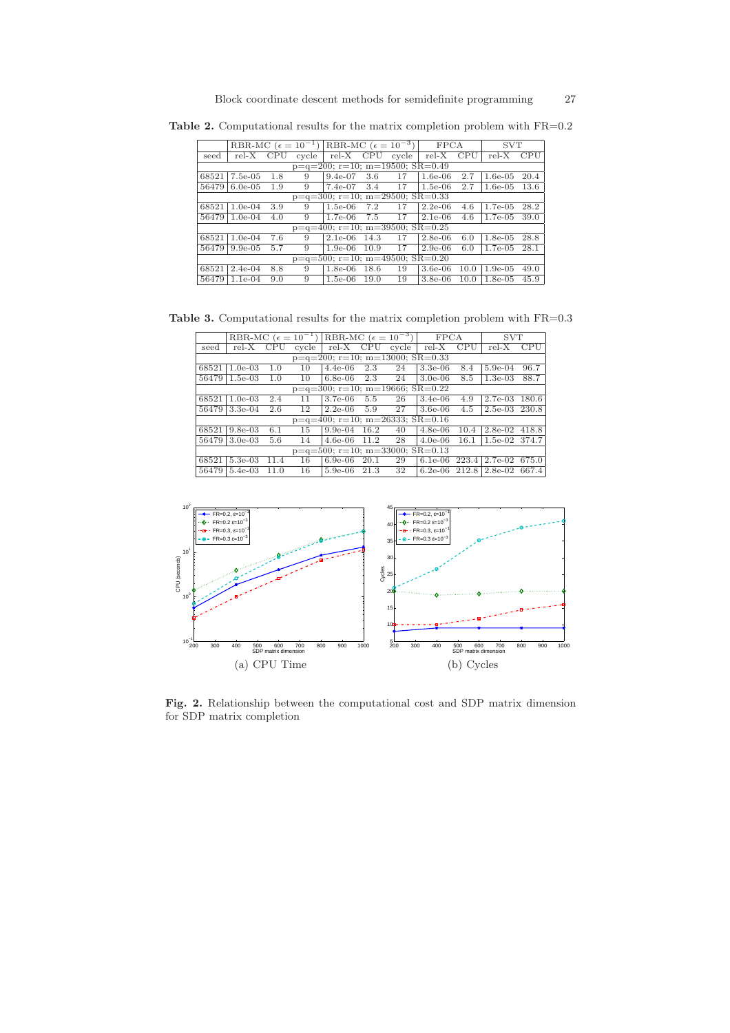Table 2. Computational results for the matrix completion problem with  $FR=0.2$ 

|                                            |            |     |       | RBR-MC $(\epsilon = 10^{-1})$ RBR-MC $(\epsilon = 10^{-3})$ |            |       | <b>FPCA</b> |      | <b>SVT</b> |      |
|--------------------------------------------|------------|-----|-------|-------------------------------------------------------------|------------|-------|-------------|------|------------|------|
| seed                                       | $rel-X$    | CPU | cvcle | $rel-X$                                                     | <b>CPU</b> | cycle | $rel-X$     | CPU  | $rel-X$    | CPU  |
| $p=q=200$ ; $r=10$ ; $m=19500$ ; $SR=0.49$ |            |     |       |                                                             |            |       |             |      |            |      |
| 68521                                      | $7.5e-0.5$ | 1.8 | 9     | $9.4e-07$                                                   | 3.6        | 17    | $1.6e-06$   | 2.7  | $1.6e-0.5$ | 20.4 |
| 56479                                      | $6.0e-0.5$ | 1.9 | 9     | $7.4e-07$                                                   | 3.4        | 17    | $1.5e-06$   | 2.7  | $1.6e-0.5$ | 13.6 |
|                                            |            |     |       | $p=q=300$ ; $r=10$ ; $m=29500$ ; $SR=0.33$                  |            |       |             |      |            |      |
| 68521                                      | $1.0e-04$  | 3.9 | 9     | $1.5e-06$                                                   | 7.2        | 17    | $2.2e-06$   | 4.6  | $1.7e-0.5$ | 28.2 |
| 56479                                      | $1.0e-04$  | 4.0 | 9     | $1.7e-06$                                                   | 7.5        | 17    | $2.1e-06$   | 4.6  | $1.7e-0.5$ | 39.0 |
|                                            |            |     |       | $p=q=400$ ; $r=10$ ; $m=39500$ ; $SR=0.25$                  |            |       |             |      |            |      |
| 68521                                      | $1.0e-04$  | 7.6 | 9     | $2.1e-06$                                                   | 14.3       | 17    | $2.8e-06$   | 6.0  | $1.8e-0.5$ | 28.8 |
| 56479                                      | $9.9e-0.5$ | 5.7 | 9     | $1.9e-06$                                                   | 10.9       | 17    | $2.9e-06$   | 6.0  | $1.7e-0.5$ | 28.1 |
| $p=q=500$ ; $r=10$ ; $m=49500$ ; $SR=0.20$ |            |     |       |                                                             |            |       |             |      |            |      |
| 68521                                      | $2.4e-04$  | 8.8 | 9     | $1.8e-06$                                                   | 18.6       | 19    | $3.6e-06$   | 10.0 | $1.9e-0.5$ | 49.0 |
| 56479                                      | $1.1e-04$  | 9.0 | 9     | $1.5e-06$                                                   | 19.0       | 19    | $3.8e-06$   | 10.0 | $1.8e-0.5$ | 45.9 |

Table 3. Computational results for the matrix completion problem with  $FR=0.3$ 

|                                            | RBR-MC $(\epsilon = 10^{-1})$ |      |       | RBR-MC $(\epsilon = 10^{-3})$              |      |       | <b>FPCA</b> |       | <b>SVT</b> |       |
|--------------------------------------------|-------------------------------|------|-------|--------------------------------------------|------|-------|-------------|-------|------------|-------|
| seed                                       | rel-X                         | CPU  | cycle | $rel-X$                                    | CPU  | cycle | $rel-X$     | CPU   | $rel-X$    | CPU   |
| $p=q=200$ ; $r=10$ ; $m=13000$ ; $SR=0.33$ |                               |      |       |                                            |      |       |             |       |            |       |
| 68521                                      | $1.0e-03$                     | 1.0  | 10    | $4.4e-06$                                  | 2.3  | 24    | $3.3e-06$   | 8.4   | $5.9e-04$  | 96.7  |
| 56479                                      | $1.5e-03$                     | 1.0  | 10    | $6.8e-06$                                  | 2.3  | 24    | $3.0e-06$   | 8.5   | $1.3e-03$  | 88.7  |
| $p=q=300$ ; $r=10$ ; $m=19666$ ; $SR=0.22$ |                               |      |       |                                            |      |       |             |       |            |       |
| 68521                                      | $1.0e-03$                     | 2.4  | 11    | $3.7e-06$                                  | 5.5  | 26    | $3.4e-06$   | 4.9   | $2.7e-03$  | 180.6 |
| 56479                                      | $3.3e-04$                     | 2.6  | 12    | $2.2e-06$                                  | 5.9  | 27    | $3.6e-06$   | 4.5   | $2.5e-03$  | 230.8 |
|                                            |                               |      |       | $p=q=400$ ; $r=10$ ; $m=26333$ ; $SR=0.16$ |      |       |             |       |            |       |
| 68521                                      | $9.8e-0.3$                    | 6.1  | 15    | $9.9e-04$                                  | 16.2 | 40    | $4.8e-06$   | 10.4  | $2.8e-02$  | 418.8 |
| 56479                                      | $3.0e-03$                     | 5.6  | 14    | $4.6e-06$                                  | 11.2 | 28    | $4.0e-06$   | 16.1  | $1.5e-02$  | 374.7 |
| $p=q=500$ ; $r=10$ ; $m=33000$ ; $SR=0.13$ |                               |      |       |                                            |      |       |             |       |            |       |
| 68521                                      | 5.3e-03                       | 11.4 | 16    | $6.9e-06$                                  | 20.1 | 29    | $6.1e-06$   | 223.4 | $2.7e-02$  | 675.0 |
| 56479                                      | $5.4e-03$                     | 11.0 | 16    | $5.9e-06$                                  | 21.3 | 32    | $6.2e-06$   | 212.8 | $2.8e-02$  | 667.4 |



Fig. 2. Relationship between the computational cost and SDP matrix dimension for SDP matrix completion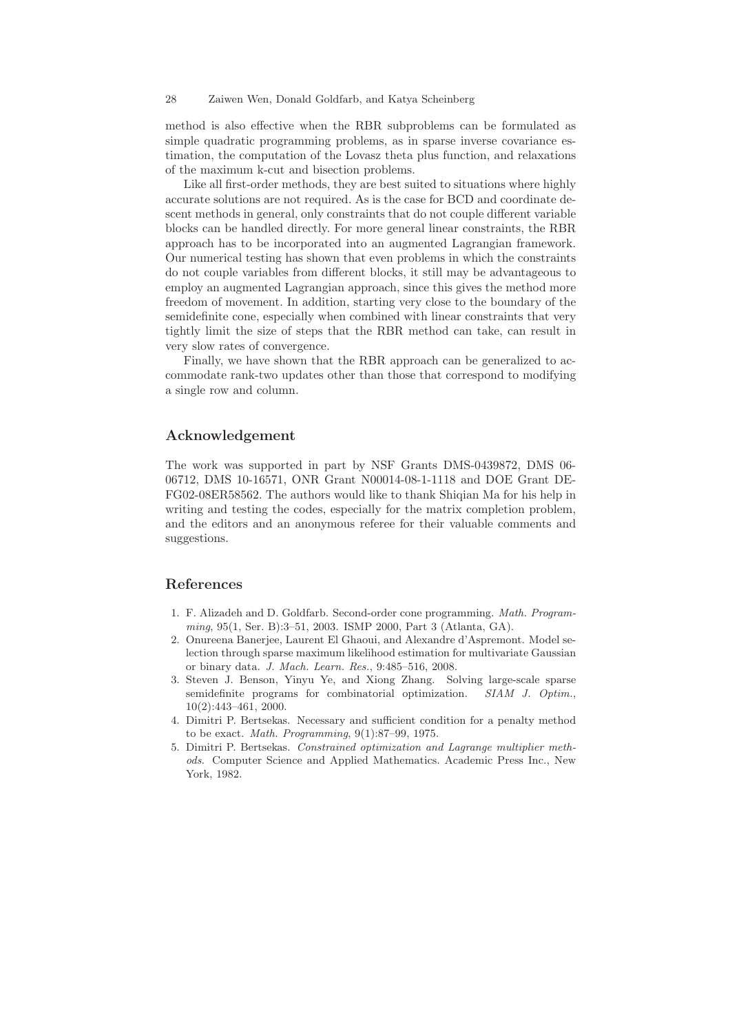method is also effective when the RBR subproblems can be formulated as simple quadratic programming problems, as in sparse inverse covariance estimation, the computation of the Lovasz theta plus function, and relaxations of the maximum k-cut and bisection problems.

Like all first-order methods, they are best suited to situations where highly accurate solutions are not required. As is the case for BCD and coordinate descent methods in general, only constraints that do not couple different variable blocks can be handled directly. For more general linear constraints, the RBR approach has to be incorporated into an augmented Lagrangian framework. Our numerical testing has shown that even problems in which the constraints do not couple variables from different blocks, it still may be advantageous to employ an augmented Lagrangian approach, since this gives the method more freedom of movement. In addition, starting very close to the boundary of the semidefinite cone, especially when combined with linear constraints that very tightly limit the size of steps that the RBR method can take, can result in very slow rates of convergence.

Finally, we have shown that the RBR approach can be generalized to accommodate rank-two updates other than those that correspond to modifying a single row and column.

# Acknowledgement

The work was supported in part by NSF Grants DMS-0439872, DMS 06- 06712, DMS 10-16571, ONR Grant N00014-08-1-1118 and DOE Grant DE-FG02-08ER58562. The authors would like to thank Shiqian Ma for his help in writing and testing the codes, especially for the matrix completion problem, and the editors and an anonymous referee for their valuable comments and suggestions.

# References

- 1. F. Alizadeh and D. Goldfarb. Second-order cone programming. *Math. Programming*, 95(1, Ser. B):3–51, 2003. ISMP 2000, Part 3 (Atlanta, GA).
- 2. Onureena Banerjee, Laurent El Ghaoui, and Alexandre d'Aspremont. Model selection through sparse maximum likelihood estimation for multivariate Gaussian or binary data. *J. Mach. Learn. Res.*, 9:485–516, 2008.
- 3. Steven J. Benson, Yinyu Ye, and Xiong Zhang. Solving large-scale sparse semidefinite programs for combinatorial optimization. *SIAM J. Optim.*, 10(2):443–461, 2000.
- 4. Dimitri P. Bertsekas. Necessary and sufficient condition for a penalty method to be exact. *Math. Programming*, 9(1):87–99, 1975.
- 5. Dimitri P. Bertsekas. *Constrained optimization and Lagrange multiplier methods*. Computer Science and Applied Mathematics. Academic Press Inc., New York, 1982.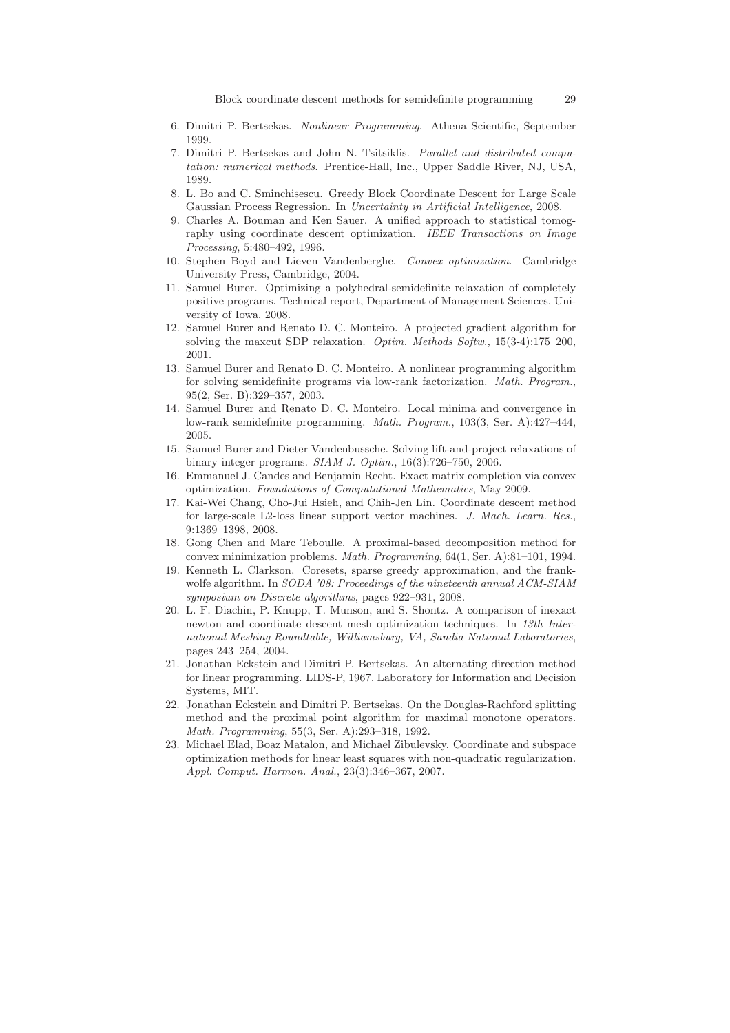Block coordinate descent methods for semidefinite programming 29

- 6. Dimitri P. Bertsekas. *Nonlinear Programming*. Athena Scientific, September 1999.
- 7. Dimitri P. Bertsekas and John N. Tsitsiklis. *Parallel and distributed computation: numerical methods*. Prentice-Hall, Inc., Upper Saddle River, NJ, USA, 1989.
- 8. L. Bo and C. Sminchisescu. Greedy Block Coordinate Descent for Large Scale Gaussian Process Regression. In *Uncertainty in Artificial Intelligence*, 2008.
- 9. Charles A. Bouman and Ken Sauer. A unified approach to statistical tomography using coordinate descent optimization. *IEEE Transactions on Image Processing*, 5:480–492, 1996.
- 10. Stephen Boyd and Lieven Vandenberghe. *Convex optimization*. Cambridge University Press, Cambridge, 2004.
- 11. Samuel Burer. Optimizing a polyhedral-semidefinite relaxation of completely positive programs. Technical report, Department of Management Sciences, University of Iowa, 2008.
- 12. Samuel Burer and Renato D. C. Monteiro. A projected gradient algorithm for solving the maxcut SDP relaxation. *Optim. Methods Softw.*, 15(3-4):175–200, 2001.
- 13. Samuel Burer and Renato D. C. Monteiro. A nonlinear programming algorithm for solving semidefinite programs via low-rank factorization. *Math. Program.*, 95(2, Ser. B):329–357, 2003.
- 14. Samuel Burer and Renato D. C. Monteiro. Local minima and convergence in low-rank semidefinite programming. *Math. Program.*, 103(3, Ser. A):427–444, 2005.
- 15. Samuel Burer and Dieter Vandenbussche. Solving lift-and-project relaxations of binary integer programs. *SIAM J. Optim.*, 16(3):726–750, 2006.
- 16. Emmanuel J. Candes and Benjamin Recht. Exact matrix completion via convex optimization. *Foundations of Computational Mathematics*, May 2009.
- 17. Kai-Wei Chang, Cho-Jui Hsieh, and Chih-Jen Lin. Coordinate descent method for large-scale L2-loss linear support vector machines. *J. Mach. Learn. Res.*, 9:1369–1398, 2008.
- 18. Gong Chen and Marc Teboulle. A proximal-based decomposition method for convex minimization problems. *Math. Programming*, 64(1, Ser. A):81–101, 1994.
- 19. Kenneth L. Clarkson. Coresets, sparse greedy approximation, and the frankwolfe algorithm. In *SODA '08: Proceedings of the nineteenth annual ACM-SIAM symposium on Discrete algorithms*, pages 922–931, 2008.
- 20. L. F. Diachin, P. Knupp, T. Munson, and S. Shontz. A comparison of inexact newton and coordinate descent mesh optimization techniques. In *13th International Meshing Roundtable, Williamsburg, VA, Sandia National Laboratories*, pages 243–254, 2004.
- 21. Jonathan Eckstein and Dimitri P. Bertsekas. An alternating direction method for linear programming. LIDS-P, 1967. Laboratory for Information and Decision Systems, MIT.
- 22. Jonathan Eckstein and Dimitri P. Bertsekas. On the Douglas-Rachford splitting method and the proximal point algorithm for maximal monotone operators. *Math. Programming*, 55(3, Ser. A):293–318, 1992.
- 23. Michael Elad, Boaz Matalon, and Michael Zibulevsky. Coordinate and subspace optimization methods for linear least squares with non-quadratic regularization. *Appl. Comput. Harmon. Anal.*, 23(3):346–367, 2007.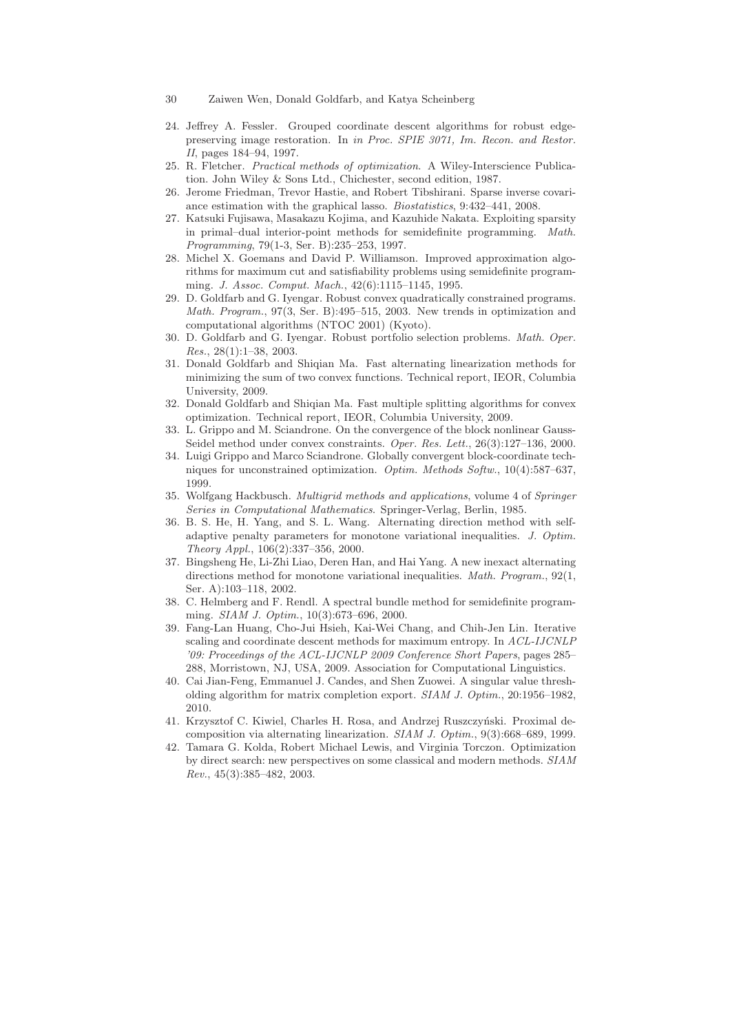- 30 Zaiwen Wen, Donald Goldfarb, and Katya Scheinberg
- 24. Jeffrey A. Fessler. Grouped coordinate descent algorithms for robust edgepreserving image restoration. In *in Proc. SPIE 3071, Im. Recon. and Restor. II*, pages 184–94, 1997.
- 25. R. Fletcher. *Practical methods of optimization*. A Wiley-Interscience Publication. John Wiley & Sons Ltd., Chichester, second edition, 1987.
- 26. Jerome Friedman, Trevor Hastie, and Robert Tibshirani. Sparse inverse covariance estimation with the graphical lasso. *Biostatistics*, 9:432–441, 2008.
- 27. Katsuki Fujisawa, Masakazu Kojima, and Kazuhide Nakata. Exploiting sparsity in primal–dual interior-point methods for semidefinite programming. *Math. Programming*, 79(1-3, Ser. B):235–253, 1997.
- 28. Michel X. Goemans and David P. Williamson. Improved approximation algorithms for maximum cut and satisfiability problems using semidefinite programming. *J. Assoc. Comput. Mach.*, 42(6):1115–1145, 1995.
- 29. D. Goldfarb and G. Iyengar. Robust convex quadratically constrained programs. *Math. Program.*, 97(3, Ser. B):495–515, 2003. New trends in optimization and computational algorithms (NTOC 2001) (Kyoto).
- 30. D. Goldfarb and G. Iyengar. Robust portfolio selection problems. *Math. Oper. Res.*, 28(1):1–38, 2003.
- 31. Donald Goldfarb and Shiqian Ma. Fast alternating linearization methods for minimizing the sum of two convex functions. Technical report, IEOR, Columbia University, 2009.
- 32. Donald Goldfarb and Shiqian Ma. Fast multiple splitting algorithms for convex optimization. Technical report, IEOR, Columbia University, 2009.
- 33. L. Grippo and M. Sciandrone. On the convergence of the block nonlinear Gauss-Seidel method under convex constraints. *Oper. Res. Lett.*, 26(3):127–136, 2000.
- 34. Luigi Grippo and Marco Sciandrone. Globally convergent block-coordinate techniques for unconstrained optimization. *Optim. Methods Softw.*, 10(4):587–637, 1999.
- 35. Wolfgang Hackbusch. *Multigrid methods and applications*, volume 4 of *Springer Series in Computational Mathematics*. Springer-Verlag, Berlin, 1985.
- 36. B. S. He, H. Yang, and S. L. Wang. Alternating direction method with selfadaptive penalty parameters for monotone variational inequalities. *J. Optim. Theory Appl.*, 106(2):337–356, 2000.
- 37. Bingsheng He, Li-Zhi Liao, Deren Han, and Hai Yang. A new inexact alternating directions method for monotone variational inequalities. *Math. Program.*, 92(1, Ser. A):103–118, 2002.
- 38. C. Helmberg and F. Rendl. A spectral bundle method for semidefinite programming. *SIAM J. Optim.*, 10(3):673–696, 2000.
- 39. Fang-Lan Huang, Cho-Jui Hsieh, Kai-Wei Chang, and Chih-Jen Lin. Iterative scaling and coordinate descent methods for maximum entropy. In *ACL-IJCNLP '09: Proceedings of the ACL-IJCNLP 2009 Conference Short Papers*, pages 285– 288, Morristown, NJ, USA, 2009. Association for Computational Linguistics.
- 40. Cai Jian-Feng, Emmanuel J. Candes, and Shen Zuowei. A singular value thresholding algorithm for matrix completion export. *SIAM J. Optim.*, 20:1956–1982, 2010.
- 41. Krzysztof C. Kiwiel, Charles H. Rosa, and Andrzej Ruszczyński. Proximal decomposition via alternating linearization. *SIAM J. Optim.*, 9(3):668–689, 1999.
- 42. Tamara G. Kolda, Robert Michael Lewis, and Virginia Torczon. Optimization by direct search: new perspectives on some classical and modern methods. *SIAM Rev.*, 45(3):385–482, 2003.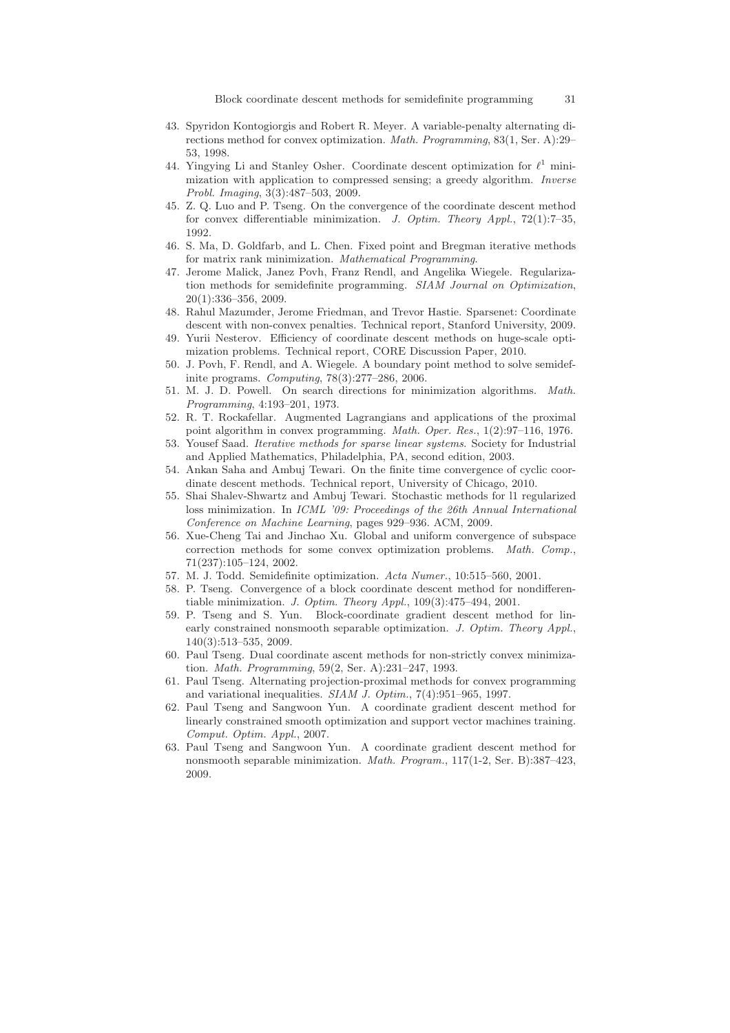- 43. Spyridon Kontogiorgis and Robert R. Meyer. A variable-penalty alternating directions method for convex optimization. *Math. Programming*, 83(1, Ser. A):29– 53, 1998.
- 44. Yingying Li and Stanley Osher. Coordinate descent optimization for  $\ell^1$  minimization with application to compressed sensing; a greedy algorithm. *Inverse Probl. Imaging*, 3(3):487–503, 2009.
- 45. Z. Q. Luo and P. Tseng. On the convergence of the coordinate descent method for convex differentiable minimization. *J. Optim. Theory Appl.*, 72(1):7–35, 1992.
- 46. S. Ma, D. Goldfarb, and L. Chen. Fixed point and Bregman iterative methods for matrix rank minimization. *Mathematical Programming*.
- 47. Jerome Malick, Janez Povh, Franz Rendl, and Angelika Wiegele. Regularization methods for semidefinite programming. *SIAM Journal on Optimization*, 20(1):336–356, 2009.
- 48. Rahul Mazumder, Jerome Friedman, and Trevor Hastie. Sparsenet: Coordinate descent with non-convex penalties. Technical report, Stanford University, 2009.
- 49. Yurii Nesterov. Efficiency of coordinate descent methods on huge-scale optimization problems. Technical report, CORE Discussion Paper, 2010.
- 50. J. Povh, F. Rendl, and A. Wiegele. A boundary point method to solve semidefinite programs. *Computing*, 78(3):277–286, 2006.
- 51. M. J. D. Powell. On search directions for minimization algorithms. *Math. Programming*, 4:193–201, 1973.
- 52. R. T. Rockafellar. Augmented Lagrangians and applications of the proximal point algorithm in convex programming. *Math. Oper. Res.*, 1(2):97–116, 1976.
- 53. Yousef Saad. *Iterative methods for sparse linear systems*. Society for Industrial and Applied Mathematics, Philadelphia, PA, second edition, 2003.
- 54. Ankan Saha and Ambuj Tewari. On the finite time convergence of cyclic coordinate descent methods. Technical report, University of Chicago, 2010.
- 55. Shai Shalev-Shwartz and Ambuj Tewari. Stochastic methods for l1 regularized loss minimization. In *ICML '09: Proceedings of the 26th Annual International Conference on Machine Learning*, pages 929–936. ACM, 2009.
- 56. Xue-Cheng Tai and Jinchao Xu. Global and uniform convergence of subspace correction methods for some convex optimization problems. *Math. Comp.*, 71(237):105–124, 2002.
- 57. M. J. Todd. Semidefinite optimization. *Acta Numer.*, 10:515–560, 2001.
- 58. P. Tseng. Convergence of a block coordinate descent method for nondifferentiable minimization. *J. Optim. Theory Appl.*, 109(3):475–494, 2001.
- 59. P. Tseng and S. Yun. Block-coordinate gradient descent method for linearly constrained nonsmooth separable optimization. *J. Optim. Theory Appl.*, 140(3):513–535, 2009.
- 60. Paul Tseng. Dual coordinate ascent methods for non-strictly convex minimization. *Math. Programming*, 59(2, Ser. A):231–247, 1993.
- 61. Paul Tseng. Alternating projection-proximal methods for convex programming and variational inequalities. *SIAM J. Optim.*, 7(4):951–965, 1997.
- 62. Paul Tseng and Sangwoon Yun. A coordinate gradient descent method for linearly constrained smooth optimization and support vector machines training. *Comput. Optim. Appl.*, 2007.
- 63. Paul Tseng and Sangwoon Yun. A coordinate gradient descent method for nonsmooth separable minimization. *Math. Program.*, 117(1-2, Ser. B):387–423, 2009.